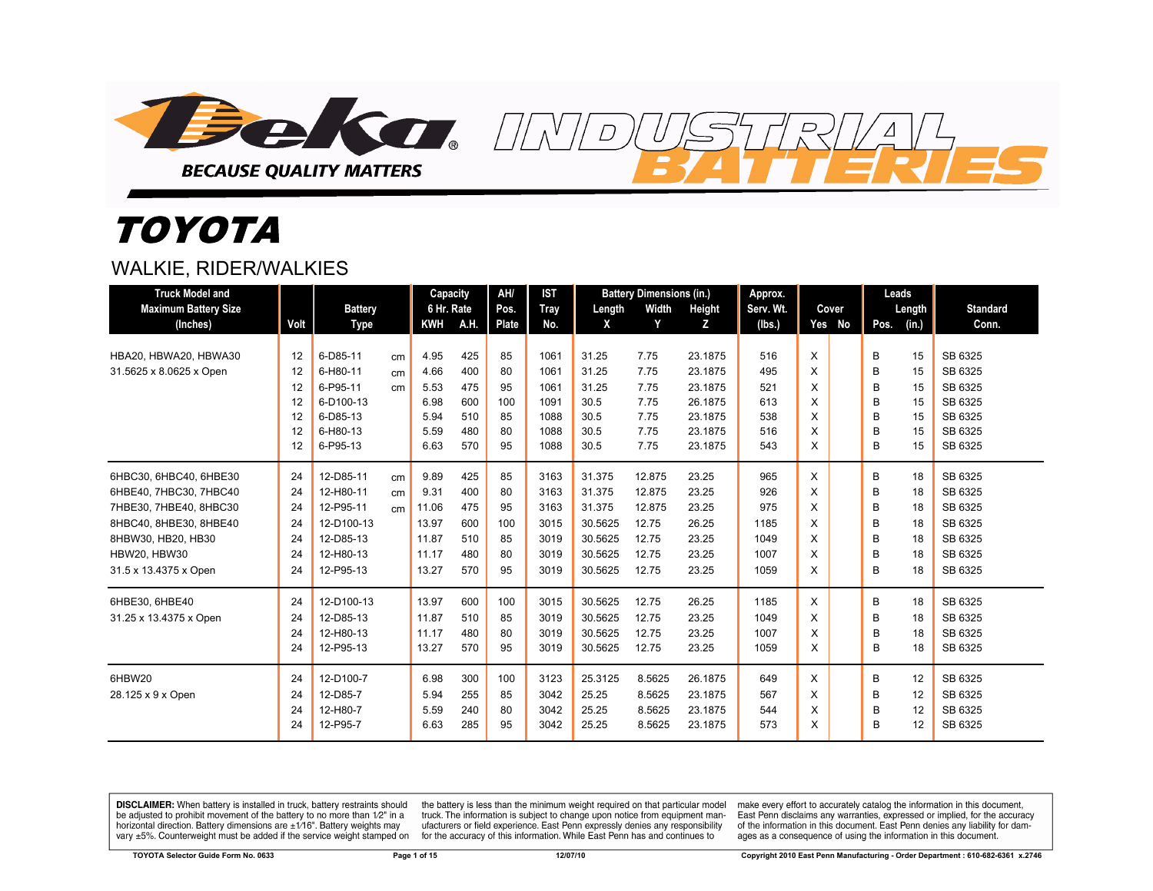

# *TOYOTA*

#### WALKIE, RIDER/WALKIES

| <b>Truck Model and</b>      |      |                |    | Capacity   |      | AH/   | <b>IST</b> |         | <b>Battery Dimensions (in.)</b> |         | Approx.   |        | Leads |        |                 |
|-----------------------------|------|----------------|----|------------|------|-------|------------|---------|---------------------------------|---------|-----------|--------|-------|--------|-----------------|
| <b>Maximum Battery Size</b> |      | <b>Battery</b> |    | 6 Hr. Rate |      | Pos.  | Tray       | Length  | Width                           | Height  | Serv. Wt. | Cover  |       | Length | <b>Standard</b> |
| (Inches)                    | Volt | Type           |    | <b>KWH</b> | A.H. | Plate | No.        | X       | Y                               | z       | (Ibs.)    | Yes No | Pos.  | (in.)  | Conn.           |
|                             |      |                |    |            |      |       |            |         |                                 |         |           |        |       |        |                 |
| HBA20, HBWA20, HBWA30       | 12   | 6-D85-11       | cm | 4.95       | 425  | 85    | 1061       | 31.25   | 7.75                            | 23.1875 | 516       | X      | B     | 15     | SB 6325         |
| 31.5625 x 8.0625 x Open     | 12   | 6-H80-11       | cm | 4.66       | 400  | 80    | 1061       | 31.25   | 7.75                            | 23.1875 | 495       | X      | B     | 15     | SB 6325         |
|                             | 12   | 6-P95-11       | cm | 5.53       | 475  | 95    | 1061       | 31.25   | 7.75                            | 23.1875 | 521       | X      | B     | 15     | SB 6325         |
|                             | 12   | 6-D100-13      |    | 6.98       | 600  | 100   | 1091       | 30.5    | 7.75                            | 26.1875 | 613       | X      | B     | 15     | SB 6325         |
|                             | 12   | 6-D85-13       |    | 5.94       | 510  | 85    | 1088       | 30.5    | 7.75                            | 23.1875 | 538       | X      | B     | 15     | SB 6325         |
|                             | 12   | 6-H80-13       |    | 5.59       | 480  | 80    | 1088       | 30.5    | 7.75                            | 23.1875 | 516       | X      | B     | 15     | SB 6325         |
|                             | 12   | 6-P95-13       |    | 6.63       | 570  | 95    | 1088       | 30.5    | 7.75                            | 23.1875 | 543       | X      | B     | 15     | SB 6325         |
| 6HBC30, 6HBC40, 6HBE30      | 24   | 12-D85-11      | cm | 9.89       | 425  | 85    | 3163       | 31.375  | 12.875                          | 23.25   | 965       | X      | B     | 18     | SB 6325         |
| 6HBE40, 7HBC30, 7HBC40      | 24   | 12-H80-11      | cm | 9.31       | 400  | 80    | 3163       | 31.375  | 12.875                          | 23.25   | 926       | X      | B     | 18     | SB 6325         |
| 7HBE30, 7HBE40, 8HBC30      | 24   | 12-P95-11      | cm | 11.06      | 475  | 95    | 3163       | 31.375  | 12.875                          | 23.25   | 975       | X      | B     | 18     | SB 6325         |
| 8HBC40, 8HBE30, 8HBE40      | 24   | 12-D100-13     |    | 13.97      | 600  | 100   | 3015       | 30.5625 | 12.75                           | 26.25   | 1185      | X      | B     | 18     | SB 6325         |
| 8HBW30, HB20, HB30          | 24   | 12-D85-13      |    | 11.87      | 510  | 85    | 3019       | 30.5625 | 12.75                           | 23.25   | 1049      | X      | B     | 18     | SB 6325         |
| <b>HBW20, HBW30</b>         | 24   | 12-H80-13      |    | 11.17      | 480  | 80    | 3019       | 30.5625 | 12.75                           | 23.25   | 1007      | X      | B     | 18     | SB 6325         |
| 31.5 x 13.4375 x Open       | 24   | 12-P95-13      |    | 13.27      | 570  | 95    | 3019       | 30.5625 | 12.75                           | 23.25   | 1059      | X      | B     | 18     | SB 6325         |
|                             |      |                |    |            |      |       |            |         |                                 |         |           |        |       |        |                 |
| 6HBE30, 6HBE40              | 24   | 12-D100-13     |    | 13.97      | 600  | 100   | 3015       | 30.5625 | 12.75                           | 26.25   | 1185      | X      | B     | 18     | SB 6325         |
| 31.25 x 13.4375 x Open      | 24   | 12-D85-13      |    | 11.87      | 510  | 85    | 3019       | 30.5625 | 12.75                           | 23.25   | 1049      | X      | B     | 18     | SB 6325         |
|                             | 24   | 12-H80-13      |    | 11.17      | 480  | 80    | 3019       | 30.5625 | 12.75                           | 23.25   | 1007      | X      | B     | 18     | SB 6325         |
|                             | 24   | 12-P95-13      |    | 13.27      | 570  | 95    | 3019       | 30.5625 | 12.75                           | 23.25   | 1059      | X      | B     | 18     | SB 6325         |
| 6HBW20                      | 24   | 12-D100-7      |    | 6.98       | 300  | 100   | 3123       | 25.3125 | 8.5625                          | 26.1875 | 649       | X      | B     | 12     | SB 6325         |
| 28.125 x 9 x Open           | 24   | 12-D85-7       |    | 5.94       | 255  | 85    | 3042       | 25.25   | 8.5625                          | 23.1875 | 567       | X      | B     | 12     | SB 6325         |
|                             | 24   | 12-H80-7       |    | 5.59       | 240  | 80    | 3042       | 25.25   | 8.5625                          | 23.1875 | 544       | X      | B     | 12     | SB 6325         |
|                             | 24   | 12-P95-7       |    | 6.63       | 285  | 95    | 3042       | 25.25   | 8.5625                          | 23.1875 | 573       | X      | B     | 12     | SB 6325         |

 $\overline{D}$ 

DISCLAIMER: When battery is installed in truck, battery restraints should be adjusted to prohibit movement of the battery to no more than 1/2" in a horizontal direction. Battery dimensions are  $\pm 1/16$ ". Battery weights may vary ±5%. Counterweight must be added if the service weight stamped on

the battery is less than the minimum weight required on that particular model truck. The information is subject to change upon notice from equipment manufacturers or field experience. East Penn expressly denies any responsibility for the accuracy of this information. While East Penn has and continues to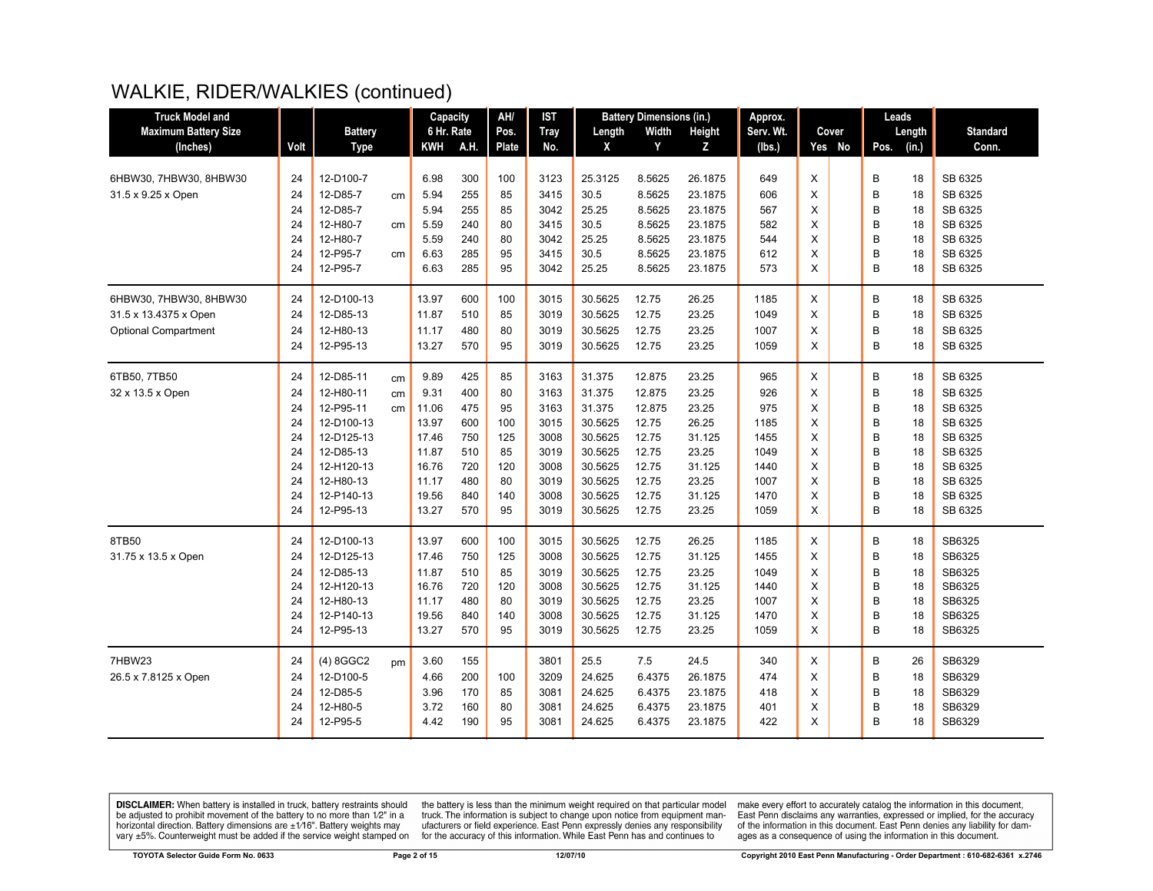# WALKIE, RIDER/WALKIES (continued)

| <b>Truck Model and</b>      |      |                |    | <b>Capacity</b> |      | AH/          | <b>IST</b>  |         | <b>Battery Dimensions (in.)</b> |         | Approx.   |   |        |      | Leads  |                 |
|-----------------------------|------|----------------|----|-----------------|------|--------------|-------------|---------|---------------------------------|---------|-----------|---|--------|------|--------|-----------------|
| <b>Maximum Battery Size</b> |      | <b>Battery</b> |    | 6 Hr. Rate      |      | Pos.         | <b>Tray</b> | Length  | Width                           | Height  | Serv. Wt. |   | Cover  |      | Length | <b>Standard</b> |
| (Inches)                    | Volt | <b>Type</b>    |    | <b>KWH</b>      | A.H. | <b>Plate</b> | No.         | X       | Y                               | Z       | (lbs.)    |   | Yes No | Pos. | (in.)  | Conn.           |
|                             |      |                |    |                 |      |              |             |         |                                 |         |           |   |        |      |        |                 |
| 6HBW30, 7HBW30, 8HBW30      | 24   | 12-D100-7      |    | 6.98            | 300  | 100          | 3123        | 25.3125 | 8.5625                          | 26.1875 | 649       | X |        | B    | 18     | SB 6325         |
| 31.5 x 9.25 x Open          | 24   | 12-D85-7       | cm | 5.94            | 255  | 85           | 3415        | 30.5    | 8.5625                          | 23.1875 | 606       | X |        | B    | 18     | SB 6325         |
|                             | 24   | 12-D85-7       |    | 5.94            | 255  | 85           | 3042        | 25.25   | 8.5625                          | 23.1875 | 567       | X |        | B    | 18     | SB 6325         |
|                             | 24   | 12-H80-7       | cm | 5.59            | 240  | 80           | 3415        | 30.5    | 8.5625                          | 23.1875 | 582       | X |        | B    | 18     | SB 6325         |
|                             | 24   | 12-H80-7       |    | 5.59            | 240  | 80           | 3042        | 25.25   | 8.5625                          | 23.1875 | 544       | X |        | B    | 18     | SB 6325         |
|                             | 24   | 12-P95-7       | cm | 6.63            | 285  | 95           | 3415        | 30.5    | 8.5625                          | 23.1875 | 612       | X |        | B    | 18     | SB 6325         |
|                             | 24   | 12-P95-7       |    | 6.63            | 285  | 95           | 3042        | 25.25   | 8.5625                          | 23.1875 | 573       | X |        | B    | 18     | SB 6325         |
| 6HBW30, 7HBW30, 8HBW30      | 24   | 12-D100-13     |    | 13.97           | 600  | 100          | 3015        | 30.5625 | 12.75                           | 26.25   | 1185      | X |        | B    | 18     | SB 6325         |
| 31.5 x 13.4375 x Open       | 24   | 12-D85-13      |    | 11.87           | 510  | 85           | 3019        | 30.5625 | 12.75                           | 23.25   | 1049      | X |        | B    | 18     | SB 6325         |
| <b>Optional Compartment</b> | 24   | 12-H80-13      |    | 11.17           | 480  | 80           | 3019        | 30.5625 | 12.75                           | 23.25   | 1007      | X |        | B    | 18     | SB 6325         |
|                             | 24   | 12-P95-13      |    | 13.27           | 570  | 95           | 3019        | 30.5625 | 12.75                           | 23.25   | 1059      | X |        | B    | 18     | SB 6325         |
|                             |      |                |    |                 |      |              |             |         |                                 |         |           |   |        |      |        |                 |
| 6TB50, 7TB50                | 24   | 12-D85-11      | cm | 9.89            | 425  | 85           | 3163        | 31.375  | 12.875                          | 23.25   | 965       | X |        | B    | 18     | SB 6325         |
| 32 x 13.5 x Open            | 24   | 12-H80-11      | cm | 9.31            | 400  | 80           | 3163        | 31.375  | 12.875                          | 23.25   | 926       | X |        | B    | 18     | SB 6325         |
|                             | 24   | 12-P95-11      | cm | 11.06           | 475  | 95           | 3163        | 31.375  | 12.875                          | 23.25   | 975       | X |        | B    | 18     | SB 6325         |
|                             | 24   | 12-D100-13     |    | 13.97           | 600  | 100          | 3015        | 30.5625 | 12.75                           | 26.25   | 1185      | X |        | B    | 18     | SB 6325         |
|                             | 24   | 12-D125-13     |    | 17.46           | 750  | 125          | 3008        | 30.5625 | 12.75                           | 31.125  | 1455      | X |        | B    | 18     | SB 6325         |
|                             | 24   | 12-D85-13      |    | 11.87           | 510  | 85           | 3019        | 30.5625 | 12.75                           | 23.25   | 1049      | X |        | B    | 18     | SB 6325         |
|                             | 24   | 12-H120-13     |    | 16.76           | 720  | 120          | 3008        | 30.5625 | 12.75                           | 31.125  | 1440      | X |        | B    | 18     | SB 6325         |
|                             | 24   | 12-H80-13      |    | 11.17           | 480  | 80           | 3019        | 30.5625 | 12.75                           | 23.25   | 1007      | X |        | B    | 18     | SB 6325         |
|                             | 24   | 12-P140-13     |    | 19.56           | 840  | 140          | 3008        | 30.5625 | 12.75                           | 31.125  | 1470      | X |        | B    | 18     | SB 6325         |
|                             | 24   | 12-P95-13      |    | 13.27           | 570  | 95           | 3019        | 30.5625 | 12.75                           | 23.25   | 1059      | X |        | B    | 18     | SB 6325         |
| 8TB50                       | 24   | 12-D100-13     |    | 13.97           | 600  | 100          | 3015        | 30.5625 | 12.75                           | 26.25   | 1185      | X |        | B    | 18     | SB6325          |
| 31.75 x 13.5 x Open         | 24   | 12-D125-13     |    | 17.46           | 750  | 125          | 3008        | 30.5625 | 12.75                           | 31.125  | 1455      | X |        | B    | 18     | SB6325          |
|                             | 24   | 12-D85-13      |    | 11.87           | 510  | 85           | 3019        | 30.5625 | 12.75                           | 23.25   | 1049      | X |        | B    | 18     | SB6325          |
|                             | 24   | 12-H120-13     |    | 16.76           | 720  | 120          | 3008        | 30.5625 | 12.75                           | 31.125  | 1440      | X |        | B    | 18     | SB6325          |
|                             | 24   | 12-H80-13      |    | 11.17           | 480  | 80           | 3019        | 30.5625 | 12.75                           | 23.25   | 1007      | X |        | B    | 18     | SB6325          |
|                             | 24   | 12-P140-13     |    | 19.56           | 840  | 140          | 3008        | 30.5625 | 12.75                           | 31.125  | 1470      | X |        | B    | 18     | SB6325          |
|                             | 24   | 12-P95-13      |    | 13.27           | 570  | 95           | 3019        | 30.5625 | 12.75                           | 23.25   | 1059      | X |        | B    | 18     | SB6325          |
| 7HBW23                      | 24   | $(4)$ 8GGC2    | pm | 3.60            | 155  |              | 3801        | 25.5    | 7.5                             | 24.5    | 340       | X |        | B    | 26     | SB6329          |
| 26.5 x 7.8125 x Open        | 24   | 12-D100-5      |    | 4.66            | 200  | 100          | 3209        | 24.625  | 6.4375                          | 26.1875 | 474       | X |        | B    | 18     | SB6329          |
|                             | 24   | 12-D85-5       |    | 3.96            | 170  | 85           | 3081        | 24.625  | 6.4375                          | 23.1875 | 418       | X |        | B    | 18     | SB6329          |
|                             | 24   | 12-H80-5       |    | 3.72            | 160  | 80           | 3081        | 24.625  | 6.4375                          | 23.1875 | 401       | X |        | B    | 18     | SB6329          |
|                             | 24   | 12-P95-5       |    | 4.42            | 190  | 95           | 3081        | 24.625  | 6.4375                          | 23.1875 | 422       | X |        | B    | 18     | SB6329          |
|                             |      |                |    |                 |      |              |             |         |                                 |         |           |   |        |      |        |                 |

**DISCLAIMER:** When battery is installed in truck, battery restraints should be adjusted to prohibit movement of the battery to no more than  $12^v$  in a horizontal direction. Battery dimensions are  $\pm 1/16^v$ . Battery wei

the battery is less than the minimum weight required on that particular model<br>truck. The information is subject to change upon notice from equipment man-<br>ufacturers or field experience. East Penn expressly denies any respo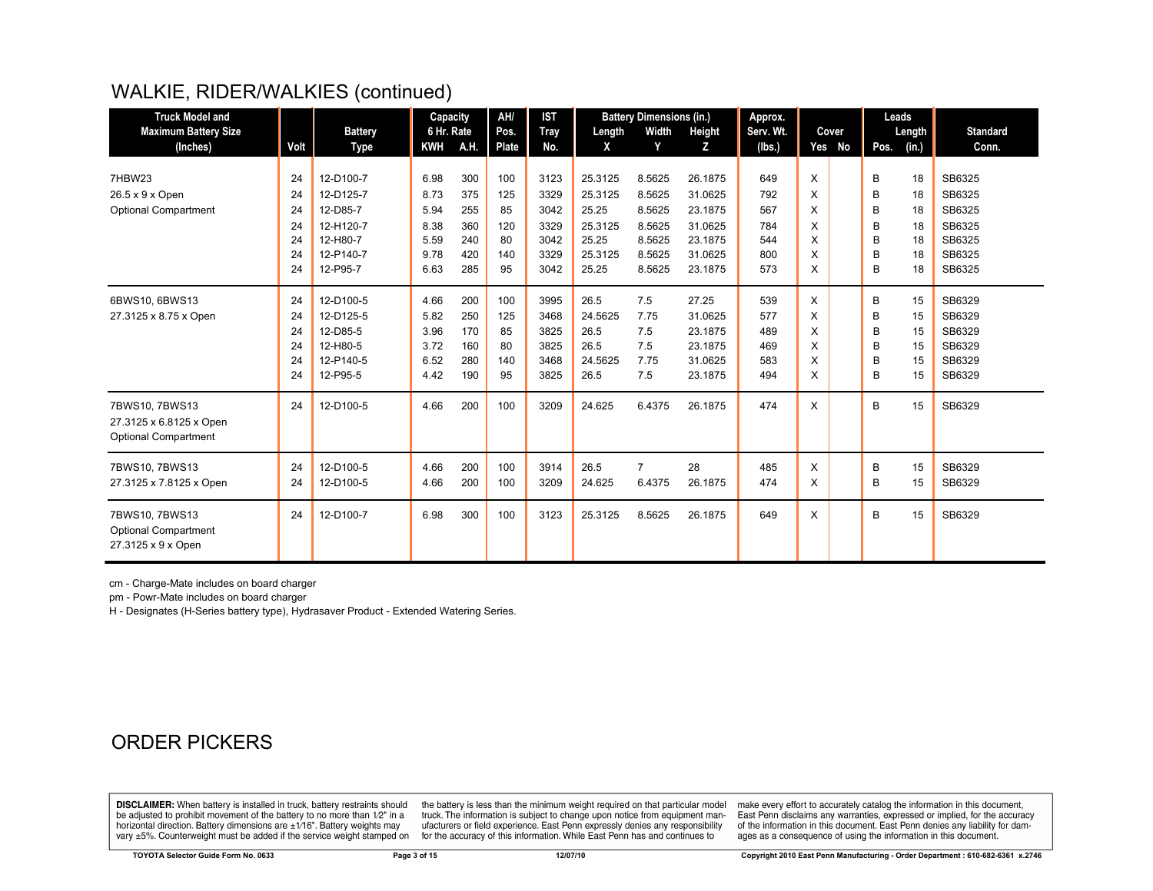# WALKIE, RIDER/WALKIES (continued)

| <b>Truck Model and</b>                                              |      |                | Capacity   |      | AH/   | <b>IST</b>  |         | <b>Battery Dimensions (in.)</b> |         | Approx.   |   |        |      | Leads  |                 |
|---------------------------------------------------------------------|------|----------------|------------|------|-------|-------------|---------|---------------------------------|---------|-----------|---|--------|------|--------|-----------------|
| <b>Maximum Battery Size</b>                                         |      | <b>Battery</b> | 6 Hr. Rate |      | Pos.  | <b>Tray</b> | Length  | Width                           | Height  | Serv. Wt. |   | Cover  |      | Length | <b>Standard</b> |
| (Inches)                                                            | Volt | Type           | <b>KWH</b> | A.H. | Plate | No.         | X       | Y                               | z       | (lbs.)    |   | Yes No | Pos. | (in.)  | Conn.           |
|                                                                     |      |                |            |      |       |             |         |                                 |         |           |   |        |      |        |                 |
| 7HBW23                                                              | 24   | 12-D100-7      | 6.98       | 300  | 100   | 3123        | 25.3125 | 8.5625                          | 26.1875 | 649       | X |        | B    | 18     | SB6325          |
| 26.5 x 9 x Open                                                     | 24   | 12-D125-7      | 8.73       | 375  | 125   | 3329        | 25.3125 | 8.5625                          | 31.0625 | 792       | X |        | B    | 18     | SB6325          |
| <b>Optional Compartment</b>                                         | 24   | 12-D85-7       | 5.94       | 255  | 85    | 3042        | 25.25   | 8.5625                          | 23.1875 | 567       | X |        | B    | 18     | SB6325          |
|                                                                     | 24   | 12-H120-7      | 8.38       | 360  | 120   | 3329        | 25.3125 | 8.5625                          | 31.0625 | 784       | X |        | B    | 18     | SB6325          |
|                                                                     | 24   | 12-H80-7       | 5.59       | 240  | 80    | 3042        | 25.25   | 8.5625                          | 23.1875 | 544       | X |        | B    | 18     | SB6325          |
|                                                                     | 24   | 12-P140-7      | 9.78       | 420  | 140   | 3329        | 25.3125 | 8.5625                          | 31.0625 | 800       | X |        | B    | 18     | SB6325          |
|                                                                     | 24   | 12-P95-7       | 6.63       | 285  | 95    | 3042        | 25.25   | 8.5625                          | 23.1875 | 573       | X |        | B    | 18     | SB6325          |
| 6BWS10, 6BWS13                                                      | 24   | 12-D100-5      | 4.66       | 200  | 100   | 3995        | 26.5    | 7.5                             | 27.25   | 539       | X |        | B    | 15     | SB6329          |
| 27.3125 x 8.75 x Open                                               | 24   | 12-D125-5      | 5.82       | 250  | 125   | 3468        | 24.5625 | 7.75                            | 31.0625 | 577       | X |        | B    | 15     | SB6329          |
|                                                                     | 24   | 12-D85-5       | 3.96       | 170  | 85    | 3825        | 26.5    | 7.5                             | 23.1875 | 489       | X |        | B    | 15     | SB6329          |
|                                                                     | 24   | 12-H80-5       | 3.72       | 160  | 80    | 3825        | 26.5    | 7.5                             | 23.1875 | 469       | X |        | B    | 15     | SB6329          |
|                                                                     | 24   | 12-P140-5      | 6.52       | 280  | 140   | 3468        | 24.5625 | 7.75                            | 31.0625 | 583       | X |        | B    | 15     | SB6329          |
|                                                                     | 24   | 12-P95-5       | 4.42       | 190  | 95    | 3825        | 26.5    | 7.5                             | 23.1875 | 494       | X |        | B    | 15     | SB6329          |
| 7BWS10, 7BWS13                                                      | 24   | 12-D100-5      | 4.66       | 200  | 100   | 3209        | 24.625  | 6.4375                          | 26.1875 | 474       | X |        | B    | 15     | SB6329          |
| 27.3125 x 6.8125 x Open<br><b>Optional Compartment</b>              |      |                |            |      |       |             |         |                                 |         |           |   |        |      |        |                 |
| 7BWS10, 7BWS13                                                      | 24   | 12-D100-5      | 4.66       | 200  | 100   | 3914        | 26.5    | $\overline{7}$                  | 28      | 485       | X |        | B    | 15     | SB6329          |
| 27.3125 x 7.8125 x Open                                             | 24   | 12-D100-5      | 4.66       | 200  | 100   | 3209        | 24.625  | 6.4375                          | 26.1875 | 474       | X |        | B    | 15     | SB6329          |
| 7BWS10, 7BWS13<br><b>Optional Compartment</b><br>27.3125 x 9 x Open | 24   | 12-D100-7      | 6.98       | 300  | 100   | 3123        | 25.3125 | 8.5625                          | 26.1875 | 649       | X |        | B    | 15     | SB6329          |

cm - Charge-Mate includes on board charger

pm - Powr-Mate includes on board charger

H - Designates (H-Series battery type), Hydrasaver Product - Extended Watering Series.

#### ORDER PICKERS

**DISCLAIMER:** When battery is installed in truck, battery restraints should be adjusted to prohibit movement of the battery to no more than 1/2" in a horizontal direction. Battery dimensions are  $\pm 1/16$ ". Battery weights may vary ±5%. Counterweight must be added if the service weight stamped on

the battery is less than the minimum weight required on that particular model<br>truck. The information is subject to change upon notice from equipment manufacturers or field experience. East Penn expressly denies any responsibility for the accuracy of this information. While East Penn has and continues to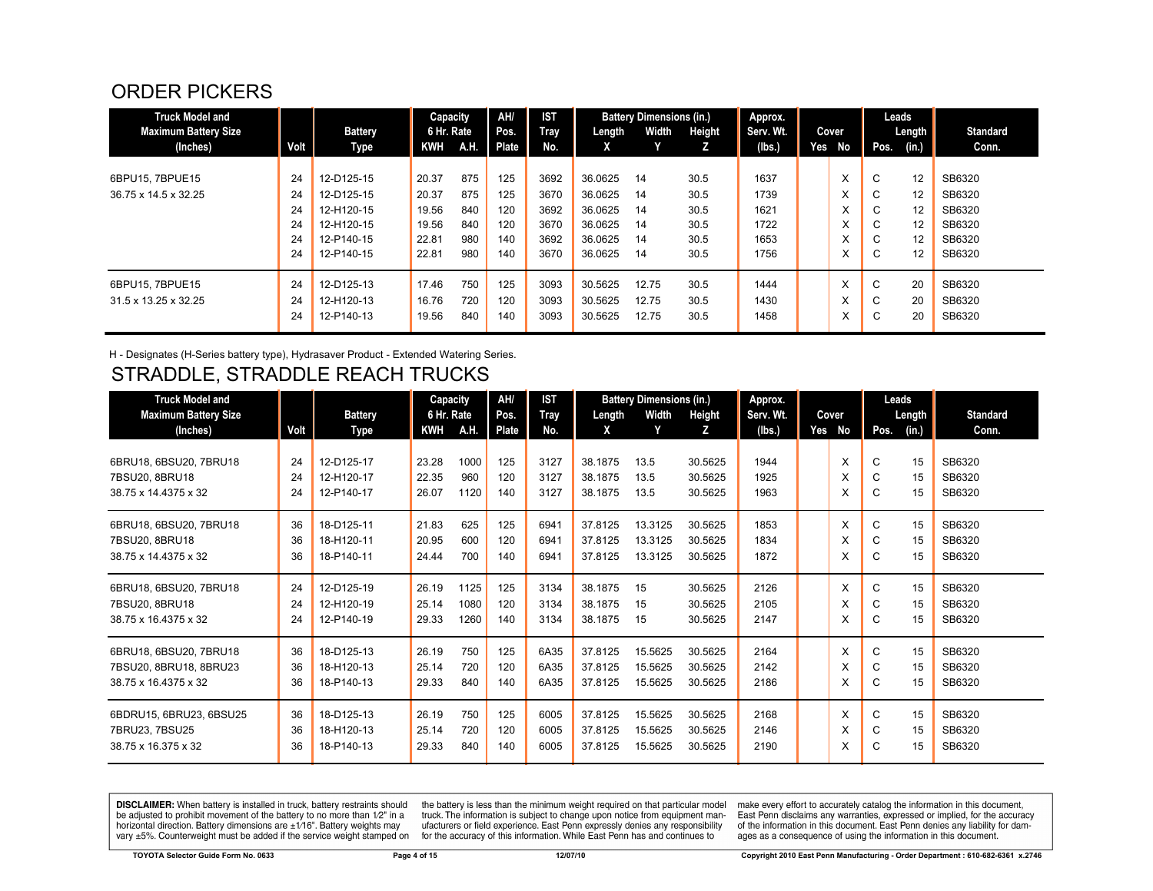#### ORDER PICKERS

| <b>Truck Model and</b><br><b>Maximum Battery Size</b><br>(Inches) | Volt | <b>Battery</b> | Capacity<br>6 Hr. Rate<br>KWH | A.H. | <b>AH</b><br>Pos.<br>Plate | <b>IST</b><br>Tray<br>No. | Length<br>X | <b>Battery Dimensions (in.)</b><br>Width | Height<br>z | Approx.<br>Serv. Wt. | Yes | Cover<br>No       | Pos.        | Leads<br>Length | <b>Standard</b><br>Conn. |
|-------------------------------------------------------------------|------|----------------|-------------------------------|------|----------------------------|---------------------------|-------------|------------------------------------------|-------------|----------------------|-----|-------------------|-------------|-----------------|--------------------------|
|                                                                   |      | Type           |                               |      |                            |                           |             |                                          |             | (Ibs.)               |     |                   |             | $(in.)$         |                          |
| 6BPU15, 7BPUE15                                                   | 24   | 12-D125-15     | 20.37                         | 875  | 125                        | 3692                      | 36.0625     | 14                                       | 30.5        | 1637                 |     | X                 | $\sim$<br>◡ | 12              | SB6320                   |
| 36.75 x 14.5 x 32.25                                              | 24   | 12-D125-15     | 20.37                         | 875  | 125                        | 3670                      | 36.0625     | 14                                       | 30.5        | 1739                 |     | v                 | $\sim$<br>◡ | 12              | SB6320                   |
|                                                                   | 24   | 12-H120-15     | 19.56                         | 840  | 120                        | 3692                      | 36.0625     | 14                                       | 30.5        | 1621                 |     | X                 | C           | 12              | SB6320                   |
|                                                                   | 24   | 12-H120-15     | 19.56                         | 840  | 120                        | 3670                      | 36.0625     | 14                                       | 30.5        | 1722                 |     | X                 | $\sim$<br>U | 12              | SB6320                   |
|                                                                   | 24   | 12-P140-15     | 22.81                         | 980  | 140                        | 3692                      | 36.0625     | 14                                       | 30.5        | 1653                 |     | $\mathbf{v}$<br>ㅅ | $\sim$<br>◡ | 12              | SB6320                   |
|                                                                   | 24   | 12-P140-15     | 22.81                         | 980  | 140                        | 3670                      | 36.0625     | 14                                       | 30.5        | 1756                 |     | X                 | $\sim$<br>G | 12              | SB6320                   |
| 6BPU15, 7BPUE15                                                   | 24   | 12-D125-13     | 17.46                         | 750  | 125                        | 3093                      | 30.5625     | 12.75                                    | 30.5        | 1444                 |     | X                 | $\sim$<br>U | 20              | SB6320                   |
| 31.5 x 13.25 x 32.25                                              | 24   | 12-H120-13     | 16.76                         | 720  | 120                        | 3093                      | 30.5625     | 12.75                                    | 30.5        | 1430                 |     | ㅅ                 | $\sim$<br>◡ | 20              | SB6320                   |
|                                                                   | 24   | 12-P140-13     | 19.56                         | 840  | 140                        | 3093                      | 30.5625     | 12.75                                    | 30.5        | 1458                 |     | ⋏                 | $\sim$<br>◡ | 20              | SB6320                   |

H - Designates (H-Series battery type), Hydrasaver Product - Extended Watering Series.

# STRADDLE, STRADDLE REACH TRUCKS

| <b>Truck Model and</b>      |      |                | Capacity   |      | AH/   | <b>IST</b> |         | <b>Battery Dimensions (in.)</b> |         | Approx.   |     |       |      | Leads  |                 |
|-----------------------------|------|----------------|------------|------|-------|------------|---------|---------------------------------|---------|-----------|-----|-------|------|--------|-----------------|
| <b>Maximum Battery Size</b> |      | <b>Battery</b> | 6 Hr. Rate |      | Pos.  | Tray       | Length  | Width                           | Height  | Serv. Wt. |     | Cover |      | Length | <b>Standard</b> |
| (Inches)                    | Volt | Type           | KWH        | A.H. | Plate | No.        | X       |                                 | Z       | (lbs.)    | Yes | No    | Pos. | (in.)  | Conn.           |
|                             |      |                |            |      |       |            |         |                                 |         |           |     |       |      |        |                 |
| 6BRU18, 6BSU20, 7BRU18      | 24   | 12-D125-17     | 23.28      | 1000 | 125   | 3127       | 38.1875 | 13.5                            | 30.5625 | 1944      |     | X     | C    | 15     | SB6320          |
| 7BSU20, 8BRU18              | 24   | 12-H120-17     | 22.35      | 960  | 120   | 3127       | 38.1875 | 13.5                            | 30.5625 | 1925      |     | X     | C    | 15     | SB6320          |
| 38.75 x 14.4375 x 32        | 24   | 12-P140-17     | 26.07      | 1120 | 140   | 3127       | 38.1875 | 13.5                            | 30.5625 | 1963      |     | X     | C    | 15     | SB6320          |
| 6BRU18, 6BSU20, 7BRU18      | 36   | 18-D125-11     | 21.83      | 625  | 125   | 6941       | 37.8125 | 13.3125                         | 30.5625 | 1853      |     | X     | C    | 15     | SB6320          |
| 7BSU20, 8BRU18              | 36   | 18-H120-11     | 20.95      | 600  | 120   | 6941       | 37.8125 | 13.3125                         | 30.5625 | 1834      |     | X     | С    | 15     | SB6320          |
| 38.75 x 14.4375 x 32        | 36   | 18-P140-11     | 24.44      | 700  | 140   | 6941       | 37.8125 | 13.3125                         | 30.5625 | 1872      |     | X     | С    | 15     | SB6320          |
| 6BRU18, 6BSU20, 7BRU18      | 24   | 12-D125-19     | 26.19      | 1125 | 125   | 3134       | 38.1875 | 15                              | 30.5625 | 2126      |     | X     | C    | 15     | SB6320          |
| 7BSU20, 8BRU18              | 24   | 12-H120-19     | 25.14      | 1080 | 120   | 3134       | 38.1875 | 15                              | 30.5625 | 2105      |     | X     | C    | 15     | SB6320          |
| 38.75 x 16.4375 x 32        | 24   | 12-P140-19     | 29.33      | 1260 | 140   | 3134       | 38.1875 | 15                              | 30.5625 | 2147      |     | X     | C    | 15     | SB6320          |
| 6BRU18, 6BSU20, 7BRU18      | 36   | 18-D125-13     | 26.19      | 750  | 125   | 6A35       | 37.8125 | 15.5625                         | 30.5625 | 2164      |     | X     | C    | 15     | SB6320          |
| 7BSU20, 8BRU18, 8BRU23      | 36   | 18-H120-13     | 25.14      | 720  | 120   | 6A35       | 37.8125 | 15.5625                         | 30.5625 | 2142      |     | X     | С    | 15     | SB6320          |
| 38.75 x 16.4375 x 32        | 36   | 18-P140-13     | 29.33      | 840  | 140   | 6A35       | 37.8125 | 15.5625                         | 30.5625 | 2186      |     | X     | C    | 15     | SB6320          |
| 6BDRU15, 6BRU23, 6BSU25     | 36   | 18-D125-13     | 26.19      | 750  | 125   | 6005       | 37.8125 | 15.5625                         | 30.5625 | 2168      |     | X     | C    | 15     | SB6320          |
| 7BRU23, 7BSU25              | 36   | 18-H120-13     | 25.14      | 720  | 120   | 6005       | 37.8125 | 15.5625                         | 30.5625 | 2146      |     | X     | С    | 15     | SB6320          |
| 38.75 x 16.375 x 32         | 36   | 18-P140-13     | 29.33      | 840  | 140   | 6005       | 37.8125 | 15.5625                         | 30.5625 | 2190      |     | X     | C    | 15     | SB6320          |

**DISCLAIMER:** When battery is installed in truck, battery restraints should be adjusted to prohibit movement of the battery to no more than  $12^v$  in a horizontal direction. Battery dimensions are  $\pm 1/16^v$ . Battery wei

the battery is less than the minimum weight required on that particular model<br>truck. The information is subject to change upon notice from equipment manutacturers or field experience. East Penn expressly denies any responsibility for the accuracy of this information. While East Penn has and continues to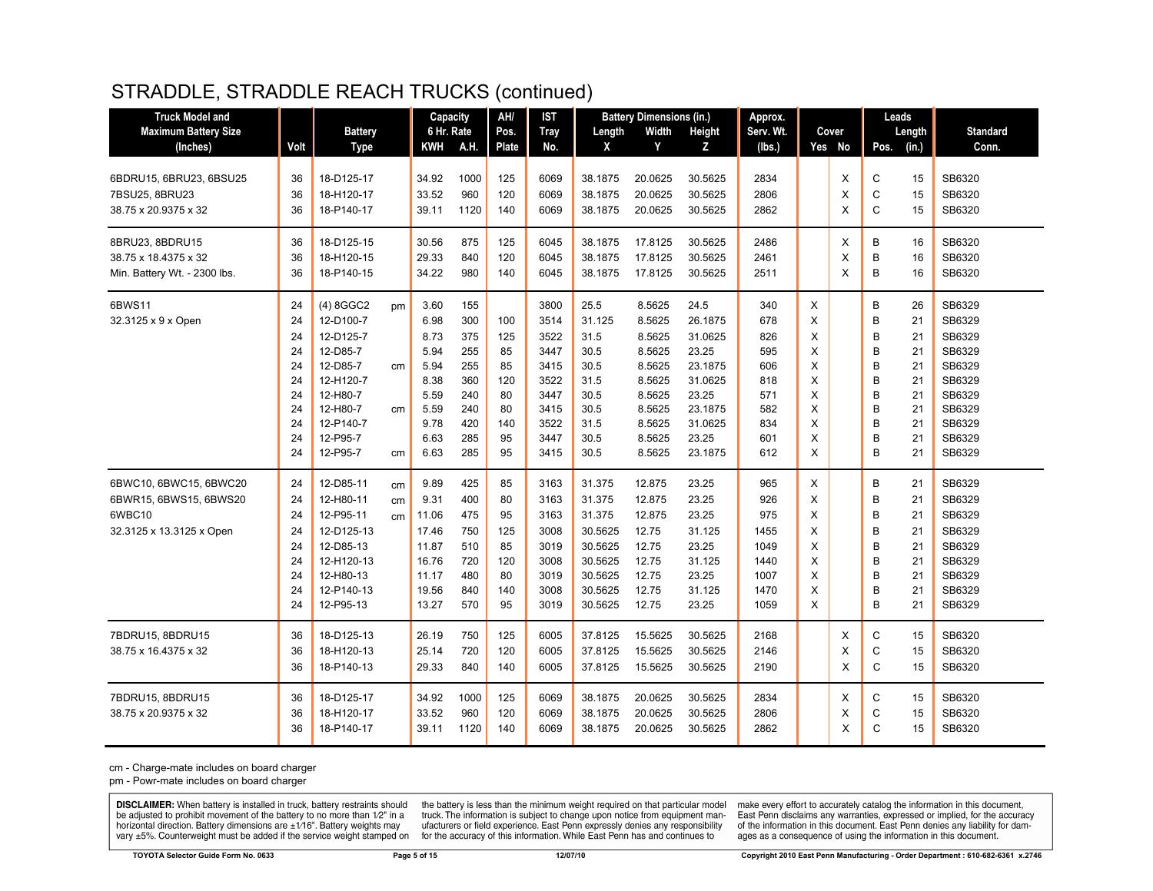#### STRADDLE, STRADDLE REACH TRUCKS (continued)

| <b>Truck Model and</b>       |      |                |    | Capacity   |      | AH/          | IST         |         | <b>Battery Dimensions (in.)</b> |               | Approx.   |   |          |              | Leads  |                 |
|------------------------------|------|----------------|----|------------|------|--------------|-------------|---------|---------------------------------|---------------|-----------|---|----------|--------------|--------|-----------------|
| <b>Maximum Battery Size</b>  |      | <b>Battery</b> |    | 6 Hr. Rate |      | Pos.         | <b>Tray</b> | Length  | Width                           | <b>Height</b> | Serv. Wt. |   | Cover    |              | Length | <b>Standard</b> |
| (Inches)                     | Volt | <b>Type</b>    |    | KWH        | A.H. | <b>Plate</b> | No.         | X       | Y                               | z             | (Ibs.)    |   | Yes No   | Pos.         | (in.)  | Conn.           |
| 6BDRU15, 6BRU23, 6BSU25      | 36   | 18-D125-17     |    | 34.92      | 1000 | 125          | 6069        | 38.1875 | 20.0625                         | 30.5625       | 2834      |   | X        | $\mathbf C$  | 15     | SB6320          |
| 7BSU25, 8BRU23               | 36   | 18-H120-17     |    | 33.52      | 960  | 120          | 6069        | 38.1875 | 20.0625                         | 30.5625       | 2806      |   | X        | C            | 15     | SB6320          |
| 38.75 x 20.9375 x 32         | 36   | 18-P140-17     |    | 39.11      | 1120 | 140          | 6069        | 38.1875 | 20.0625                         | 30.5625       | 2862      |   | X        | C            | 15     | SB6320          |
|                              |      |                |    |            |      |              |             |         |                                 |               |           |   |          |              |        |                 |
| 8BRU23, 8BDRU15              | 36   | 18-D125-15     |    | 30.56      | 875  | 125          | 6045        | 38.1875 | 17.8125                         | 30.5625       | 2486      |   | Χ        | В            | 16     | SB6320          |
| 38.75 x 18.4375 x 32         | 36   | 18-H120-15     |    | 29.33      | 840  | 120          | 6045        | 38.1875 | 17.8125                         | 30.5625       | 2461      |   | X        | B            | 16     | SB6320          |
| Min. Battery Wt. - 2300 lbs. | 36   | 18-P140-15     |    | 34.22      | 980  | 140          | 6045        | 38.1875 | 17.8125                         | 30.5625       | 2511      |   | $\times$ | B            | 16     | SB6320          |
| 6BWS11                       | 24   | (4) 8GGC2      | pm | 3.60       | 155  |              | 3800        | 25.5    | 8.5625                          | 24.5          | 340       | X |          | B            | 26     | SB6329          |
| 32.3125 x 9 x Open           | 24   | 12-D100-7      |    | 6.98       | 300  | 100          | 3514        | 31.125  | 8.5625                          | 26.1875       | 678       | X |          | B            | 21     | SB6329          |
|                              | 24   | 12-D125-7      |    | 8.73       | 375  | 125          | 3522        | 31.5    | 8.5625                          | 31.0625       | 826       | X |          | B            | 21     | SB6329          |
|                              | 24   | 12-D85-7       |    | 5.94       | 255  | 85           | 3447        | 30.5    | 8.5625                          | 23.25         | 595       | X |          | B            | 21     | SB6329          |
|                              | 24   | 12-D85-7       | cm | 5.94       | 255  | 85           | 3415        | 30.5    | 8.5625                          | 23.1875       | 606       | X |          | B            | 21     | SB6329          |
|                              | 24   | 12-H120-7      |    | 8.38       | 360  | 120          | 3522        | 31.5    | 8.5625                          | 31.0625       | 818       | X |          | B            | 21     | SB6329          |
|                              | 24   | 12-H80-7       |    | 5.59       | 240  | 80           | 3447        | 30.5    | 8.5625                          | 23.25         | 571       | X |          | B            | 21     | SB6329          |
|                              | 24   | 12-H80-7       | cm | 5.59       | 240  | 80           | 3415        | 30.5    | 8.5625                          | 23.1875       | 582       | X |          | B            | 21     | SB6329          |
|                              | 24   | 12-P140-7      |    | 9.78       | 420  | 140          | 3522        | 31.5    | 8.5625                          | 31.0625       | 834       | X |          | B            | 21     | SB6329          |
|                              | 24   | 12-P95-7       |    | 6.63       | 285  | 95           | 3447        | 30.5    | 8.5625                          | 23.25         | 601       | X |          | B            | 21     | SB6329          |
|                              | 24   | 12-P95-7       | cm | 6.63       | 285  | 95           | 3415        | 30.5    | 8.5625                          | 23.1875       | 612       | X |          | B            | 21     | SB6329          |
| 6BWC10, 6BWC15, 6BWC20       | 24   | 12-D85-11      | cm | 9.89       | 425  | 85           | 3163        | 31.375  | 12.875                          | 23.25         | 965       | X |          | B            | 21     | SB6329          |
| 6BWR15, 6BWS15, 6BWS20       | 24   | 12-H80-11      | cm | 9.31       | 400  | 80           | 3163        | 31.375  | 12.875                          | 23.25         | 926       | X |          | B            | 21     | SB6329          |
| 6WBC10                       | 24   | 12-P95-11      | cm | 11.06      | 475  | 95           | 3163        | 31.375  | 12.875                          | 23.25         | 975       | X |          | B            | 21     | SB6329          |
| 32.3125 x 13.3125 x Open     | 24   | 12-D125-13     |    | 17.46      | 750  | 125          | 3008        | 30.5625 | 12.75                           | 31.125        | 1455      | X |          | B            | 21     | SB6329          |
|                              | 24   | 12-D85-13      |    | 11.87      | 510  | 85           | 3019        | 30.5625 | 12.75                           | 23.25         | 1049      | X |          | B            | 21     | SB6329          |
|                              | 24   | 12-H120-13     |    | 16.76      | 720  | 120          | 3008        | 30.5625 | 12.75                           | 31.125        | 1440      | X |          | B            | 21     | SB6329          |
|                              | 24   | 12-H80-13      |    | 11.17      | 480  | 80           | 3019        | 30.5625 | 12.75                           | 23.25         | 1007      | X |          | B            | 21     | SB6329          |
|                              | 24   | 12-P140-13     |    | 19.56      | 840  | 140          | 3008        | 30.5625 | 12.75                           | 31.125        | 1470      | X |          | B            | 21     | SB6329          |
|                              | 24   | 12-P95-13      |    | 13.27      | 570  | 95           | 3019        | 30.5625 | 12.75                           | 23.25         | 1059      | X |          | B            | 21     | SB6329          |
| 7BDRU15, 8BDRU15             | 36   | 18-D125-13     |    | 26.19      | 750  | 125          | 6005        | 37.8125 | 15.5625                         | 30.5625       | 2168      |   | Χ        | C            | 15     | SB6320          |
| 38.75 x 16.4375 x 32         | 36   | 18-H120-13     |    | 25.14      | 720  | 120          | 6005        | 37.8125 | 15.5625                         | 30.5625       | 2146      |   | X        | C            | 15     | SB6320          |
|                              | 36   | 18-P140-13     |    | 29.33      | 840  | 140          | 6005        | 37.8125 | 15.5625                         | 30.5625       | 2190      |   | X        | $\mathsf{C}$ | 15     | SB6320          |
| 7BDRU15, 8BDRU15             | 36   | 18-D125-17     |    | 34.92      | 1000 | 125          | 6069        | 38.1875 | 20.0625                         | 30.5625       | 2834      |   | Χ        | C            | 15     | SB6320          |
| 38.75 x 20.9375 x 32         | 36   | 18-H120-17     |    | 33.52      | 960  | 120          | 6069        | 38.1875 | 20.0625                         | 30.5625       | 2806      |   | X        | C            | 15     | SB6320          |
|                              | 36   | 18-P140-17     |    | 39.11      | 1120 | 140          | 6069        | 38.1875 | 20.0625                         | 30.5625       | 2862      |   | X        | C            | 15     | SB6320          |
|                              |      |                |    |            |      |              |             |         |                                 |               |           |   |          |              |        |                 |

cm - Charge-mate includes on board charger

pm - Powr-mate includes on board charger

**DISCLAIMER:** When battery is installed in truck, battery restraints should be adjusted to prohibit movement of the battery to no more than  $12^v$  in a horizontal direction. Battery dimensions are  $\pm 1/16^v$ . Battery wei

the battery is less than the minimum weight required on that particular model<br>truck. The information is subject to change upon notice from equipment manufacturers or field experience. East Penn expressly denies any responsibility for the accuracy of this information. While East Penn has and continues to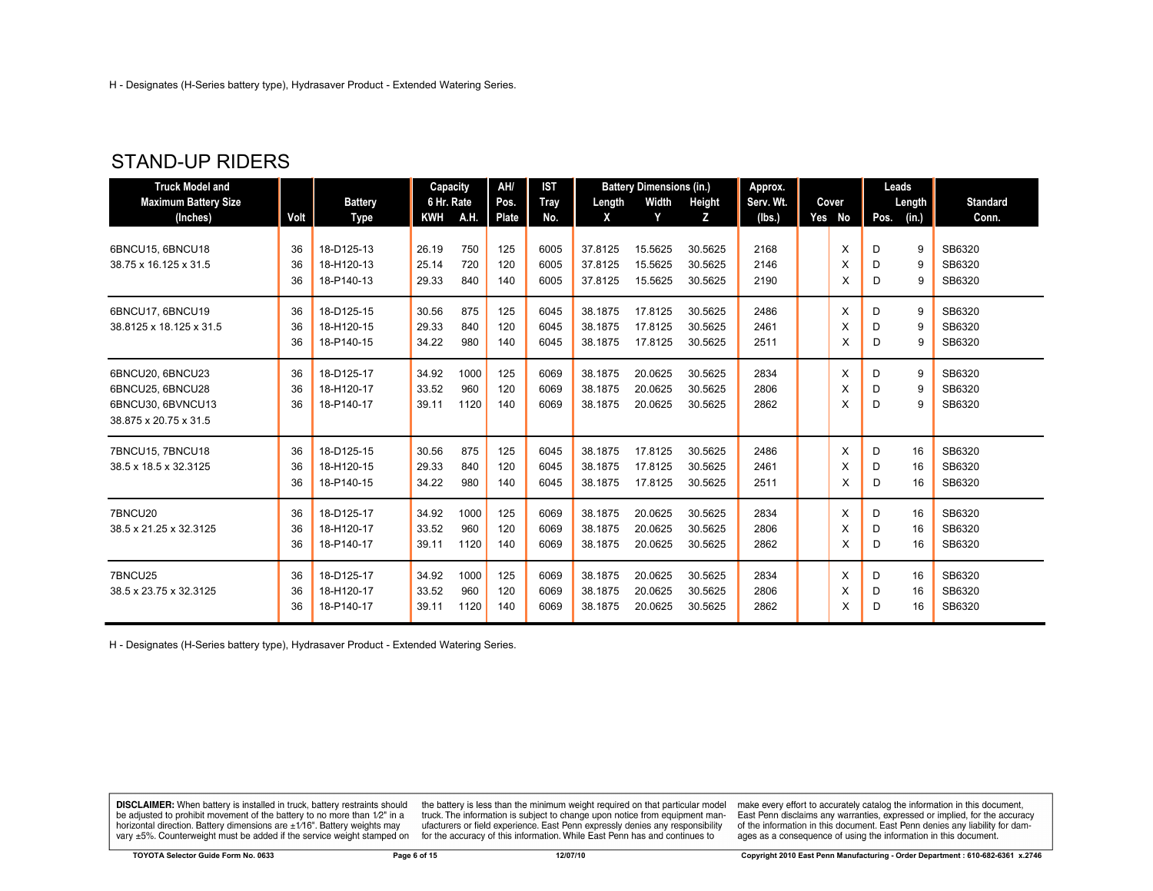#### STAND-UP RIDERS

| <b>Truck Model and</b>      |      |                | Capacity   |      | AH/   | <b>IST</b> |         | <b>Battery Dimensions (in.)</b> |         | Approx.   |          | Leads |        |                 |
|-----------------------------|------|----------------|------------|------|-------|------------|---------|---------------------------------|---------|-----------|----------|-------|--------|-----------------|
| <b>Maximum Battery Size</b> |      | <b>Battery</b> | 6 Hr. Rate |      | Pos.  | Tray       | Length  | Width                           | Height  | Serv. Wt. | Cover    |       | Length | <b>Standard</b> |
| (Inches)                    | Volt | Type           | <b>KWH</b> | A.H. | Plate | No.        | X       | Y                               | z       | (lbs.)    | Yes No   | Pos.  | (in.)  | Conn.           |
| 6BNCU15, 6BNCU18            | 36   | 18-D125-13     | 26.19      | 750  | 125   | 6005       | 37.8125 | 15.5625                         | 30.5625 | 2168      | X        | D     | 9      | SB6320          |
| 38.75 x 16.125 x 31.5       | 36   | 18-H120-13     | 25.14      | 720  | 120   | 6005       | 37.8125 | 15.5625                         | 30.5625 | 2146      | X        | D     | 9      | SB6320          |
|                             | 36   | 18-P140-13     | 29.33      | 840  | 140   | 6005       | 37.8125 | 15.5625                         | 30.5625 | 2190      | X        | D     | 9      | SB6320          |
|                             |      |                |            |      |       |            |         |                                 |         |           |          |       |        |                 |
| 6BNCU17, 6BNCU19            | 36   | 18-D125-15     | 30.56      | 875  | 125   | 6045       | 38.1875 | 17.8125                         | 30.5625 | 2486      | $\times$ | D     | 9      | SB6320          |
| 38.8125 x 18.125 x 31.5     | 36   | 18-H120-15     | 29.33      | 840  | 120   | 6045       | 38.1875 | 17.8125                         | 30.5625 | 2461      | X        | D     | 9      | SB6320          |
|                             | 36   | 18-P140-15     | 34.22      | 980  | 140   | 6045       | 38.1875 | 17.8125                         | 30.5625 | 2511      | X        | D     | 9      | SB6320          |
| 6BNCU20, 6BNCU23            | 36   | 18-D125-17     | 34.92      | 1000 | 125   | 6069       | 38.1875 | 20.0625                         | 30.5625 | 2834      | $\times$ | D     | 9      | SB6320          |
| 6BNCU25, 6BNCU28            | 36   | 18-H120-17     | 33.52      | 960  | 120   | 6069       | 38.1875 | 20.0625                         | 30.5625 | 2806      | X        | D     | 9      | SB6320          |
| 6BNCU30, 6BVNCU13           | 36   | 18-P140-17     | 39.11      | 1120 | 140   | 6069       | 38.1875 | 20.0625                         | 30.5625 | 2862      | X        | D     | 9      | SB6320          |
| 38.875 x 20.75 x 31.5       |      |                |            |      |       |            |         |                                 |         |           |          |       |        |                 |
| 7BNCU15, 7BNCU18            | 36   | 18-D125-15     | 30.56      | 875  | 125   | 6045       | 38.1875 | 17.8125                         | 30.5625 | 2486      | $\times$ | D     | 16     | SB6320          |
| 38.5 x 18.5 x 32.3125       | 36   | 18-H120-15     | 29.33      | 840  | 120   | 6045       | 38.1875 | 17.8125                         | 30.5625 | 2461      | X        | D     | 16     | SB6320          |
|                             | 36   | 18-P140-15     | 34.22      | 980  | 140   | 6045       | 38.1875 | 17.8125                         | 30.5625 | 2511      | X        | D     | 16     | SB6320          |
| 7BNCU20                     | 36   | 18-D125-17     | 34.92      | 1000 | 125   | 6069       | 38.1875 | 20.0625                         | 30.5625 | 2834      | X        | D     | 16     | SB6320          |
| 38.5 x 21.25 x 32.3125      | 36   | 18-H120-17     | 33.52      | 960  | 120   | 6069       | 38.1875 | 20.0625                         | 30.5625 | 2806      | X        | D     | 16     | SB6320          |
|                             | 36   | 18-P140-17     | 39.11      | 1120 | 140   | 6069       | 38.1875 | 20.0625                         | 30.5625 | 2862      | X        | D     | 16     | SB6320          |
| 7BNCU25                     | 36   | 18-D125-17     | 34.92      | 1000 | 125   | 6069       | 38.1875 | 20.0625                         | 30.5625 | 2834      | X        | D     | 16     | SB6320          |
| 38.5 x 23.75 x 32.3125      | 36   | 18-H120-17     | 33.52      | 960  | 120   | 6069       | 38.1875 | 20.0625                         | 30.5625 | 2806      | X        | D     | 16     | SB6320          |
|                             | 36   | 18-P140-17     | 39.11      | 1120 | 140   | 6069       | 38.1875 | 20.0625                         | 30.5625 | 2862      | X        | D     | 16     | SB6320          |

H - Designates (H-Series battery type), Hydrasaver Product - Extended Watering Series.

**DISCLAIMER:** When battery is installed in truck, battery restraints should be adjusted to prohibit movement of the battery to no more than  $1/2$ " in a horizontal direction. Battery dimensions are  $\pm 1/16$ ". Battery weig

the battery is less than the minimum weight required on that particular model<br>truck. The information is subject to change upon notice from equipment manufacturers or field experience. East Penn expressly denies any responsibility for the accuracy of this information. While East Penn has and continues to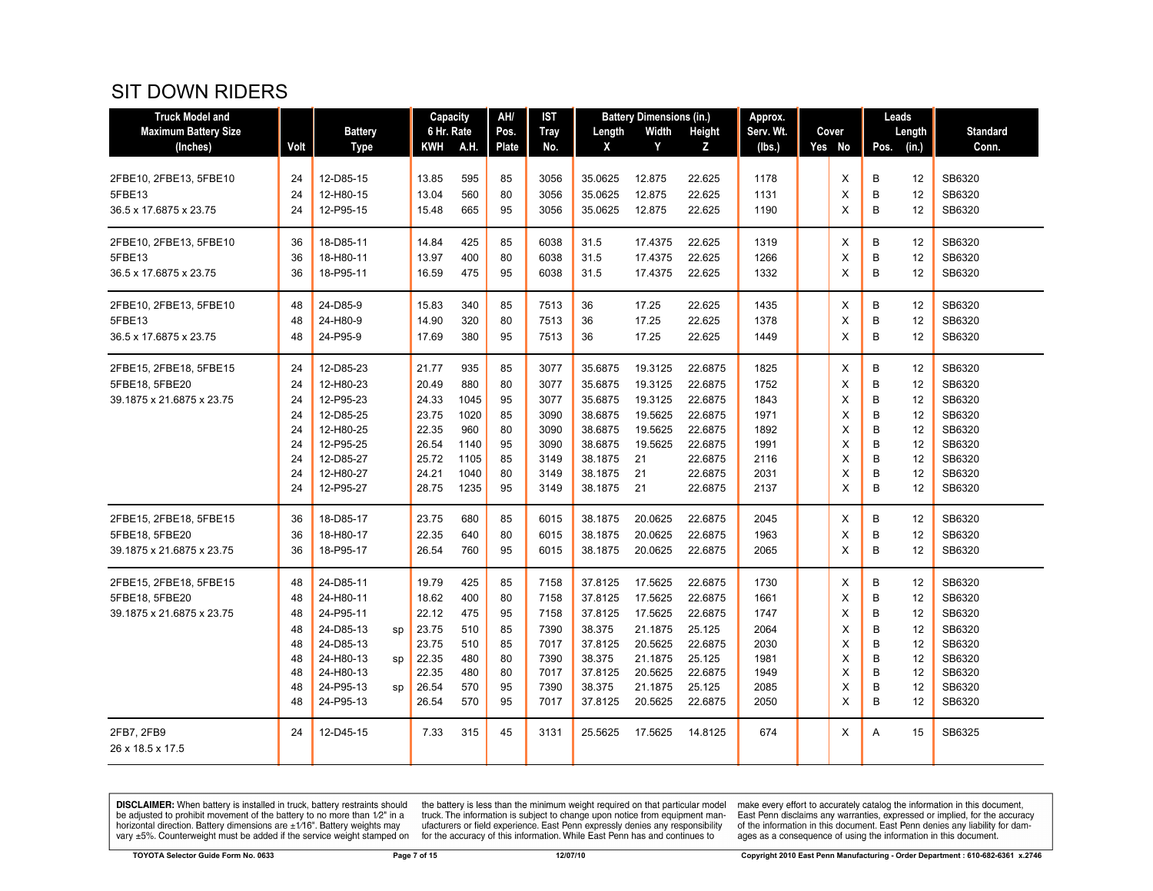#### SIT DOWN RIDERS

| <b>Truck Model and</b>                                                |                                                    |                                                                                                                                     | Capacity                                                                      |                                                                   | AH/                                                | IST                                                                  |                                                                                                 | <b>Battery Dimensions (in.)</b>                                                                 |                                                                                                 | Approx.                                                              |                                           | Leads                                     |                                                    |                                                                                        |
|-----------------------------------------------------------------------|----------------------------------------------------|-------------------------------------------------------------------------------------------------------------------------------------|-------------------------------------------------------------------------------|-------------------------------------------------------------------|----------------------------------------------------|----------------------------------------------------------------------|-------------------------------------------------------------------------------------------------|-------------------------------------------------------------------------------------------------|-------------------------------------------------------------------------------------------------|----------------------------------------------------------------------|-------------------------------------------|-------------------------------------------|----------------------------------------------------|----------------------------------------------------------------------------------------|
| <b>Maximum Battery Size</b>                                           |                                                    | <b>Battery</b>                                                                                                                      | 6 Hr. Rate                                                                    |                                                                   | Pos.                                               | <b>Tray</b>                                                          | Length                                                                                          | Width                                                                                           | Height                                                                                          | Serv. Wt.                                                            | Cover                                     | Length                                    |                                                    | <b>Standard</b>                                                                        |
| (Inches)                                                              | Volt                                               | <b>Type</b>                                                                                                                         | KWH                                                                           | A.H.                                                              | Plate                                              | No.                                                                  | X                                                                                               | Y                                                                                               | Z                                                                                               | (lbs.)                                                               | Yes No                                    | Pos.                                      | (in.)                                              | Conn.                                                                                  |
| 2FBE10, 2FBE13, 5FBE10<br>5FBE13<br>36.5 x 17.6875 x 23.75            | 24<br>24<br>24                                     | 12-D85-15<br>12-H80-15<br>12-P95-15                                                                                                 | 13.85<br>13.04<br>15.48                                                       | 595<br>560<br>665                                                 | 85<br>80<br>95                                     | 3056<br>3056<br>3056                                                 | 35.0625<br>35.0625<br>35.0625                                                                   | 12.875<br>12.875<br>12.875                                                                      | 22.625<br>22.625<br>22.625                                                                      | 1178<br>1131<br>1190                                                 | X<br>X<br>X                               | B<br>В<br>B                               | 12<br>12<br>12                                     | SB6320<br>SB6320<br>SB6320                                                             |
| 2FBE10, 2FBE13, 5FBE10<br>5FBE13<br>36.5 x 17.6875 x 23.75            | 36<br>36<br>36                                     | 18-D85-11<br>18-H80-11<br>18-P95-11                                                                                                 | 14.84<br>13.97<br>16.59                                                       | 425<br>400<br>475                                                 | 85<br>80<br>95                                     | 6038<br>6038<br>6038                                                 | 31.5<br>31.5<br>31.5                                                                            | 17.4375<br>17.4375<br>17.4375                                                                   | 22.625<br>22.625<br>22.625                                                                      | 1319<br>1266<br>1332                                                 | X<br>X<br>X                               | B<br>B<br>B                               | 12<br>12<br>12                                     | SB6320<br>SB6320<br>SB6320                                                             |
| 2FBE10, 2FBE13, 5FBE10<br>5FBE13<br>36.5 x 17.6875 x 23.75            | 48<br>48<br>48                                     | 24-D85-9<br>24-H80-9<br>24-P95-9                                                                                                    | 15.83<br>14.90<br>17.69                                                       | 340<br>320<br>380                                                 | 85<br>80<br>95                                     | 7513<br>7513<br>7513                                                 | 36<br>36<br>36                                                                                  | 17.25<br>17.25<br>17.25                                                                         | 22.625<br>22.625<br>22.625                                                                      | 1435<br>1378<br>1449                                                 | X<br>X<br>X                               | B<br>B<br>B                               | 12<br>12<br>12                                     | SB6320<br>SB6320<br>SB6320                                                             |
| 2FBE15, 2FBE18, 5FBE15<br>5FBE18, 5FBE20<br>39.1875 x 21.6875 x 23.75 | 24<br>24<br>24<br>24<br>24<br>24<br>24<br>24<br>24 | 12-D85-23<br>12-H80-23<br>12-P95-23<br>12-D85-25<br>12-H80-25<br>12-P95-25<br>12-D85-27<br>12-H80-27<br>12-P95-27                   | 21.77<br>20.49<br>24.33<br>23.75<br>22.35<br>26.54<br>25.72<br>24.21<br>28.75 | 935<br>880<br>1045<br>1020<br>960<br>1140<br>1105<br>1040<br>1235 | 85<br>80<br>95<br>85<br>80<br>95<br>85<br>80<br>95 | 3077<br>3077<br>3077<br>3090<br>3090<br>3090<br>3149<br>3149<br>3149 | 35.6875<br>35.6875<br>35.6875<br>38.6875<br>38.6875<br>38.6875<br>38.1875<br>38.1875<br>38.1875 | 19.3125<br>19.3125<br>19.3125<br>19.5625<br>19.5625<br>19.5625<br>21<br>21<br>21                | 22.6875<br>22.6875<br>22.6875<br>22.6875<br>22.6875<br>22.6875<br>22.6875<br>22.6875<br>22.6875 | 1825<br>1752<br>1843<br>1971<br>1892<br>1991<br>2116<br>2031<br>2137 | X<br>X<br>X<br>X<br>X<br>X<br>X<br>X<br>X | B<br>B<br>B<br>B<br>B<br>B<br>B<br>B<br>B | 12<br>12<br>12<br>12<br>12<br>12<br>12<br>12<br>12 | SB6320<br>SB6320<br>SB6320<br>SB6320<br>SB6320<br>SB6320<br>SB6320<br>SB6320<br>SB6320 |
| 2FBE15, 2FBE18, 5FBE15<br>5FBE18, 5FBE20<br>39.1875 x 21.6875 x 23.75 | 36<br>36<br>36                                     | 18-D85-17<br>18-H80-17<br>18-P95-17                                                                                                 | 23.75<br>22.35<br>26.54                                                       | 680<br>640<br>760                                                 | 85<br>80<br>95                                     | 6015<br>6015<br>6015                                                 | 38.1875<br>38.1875<br>38.1875                                                                   | 20.0625<br>20.0625<br>20.0625                                                                   | 22.6875<br>22.6875<br>22.6875                                                                   | 2045<br>1963<br>2065                                                 | X<br>X<br>X                               | B<br>B<br>B                               | 12<br>12<br>12                                     | SB6320<br>SB6320<br>SB6320                                                             |
| 2FBE15, 2FBE18, 5FBE15<br>5FBE18, 5FBE20<br>39.1875 x 21.6875 x 23.75 | 48<br>48<br>48<br>48<br>48<br>48<br>48<br>48<br>48 | 24-D85-11<br>24-H80-11<br>24-P95-11<br>24-D85-13<br>sp<br>24-D85-13<br>24-H80-13<br>sp<br>24-H80-13<br>24-P95-13<br>sp<br>24-P95-13 | 19.79<br>18.62<br>22.12<br>23.75<br>23.75<br>22.35<br>22.35<br>26.54<br>26.54 | 425<br>400<br>475<br>510<br>510<br>480<br>480<br>570<br>570       | 85<br>80<br>95<br>85<br>85<br>80<br>80<br>95<br>95 | 7158<br>7158<br>7158<br>7390<br>7017<br>7390<br>7017<br>7390<br>7017 | 37.8125<br>37.8125<br>37.8125<br>38.375<br>37.8125<br>38.375<br>37.8125<br>38.375<br>37.8125    | 17.5625<br>17.5625<br>17.5625<br>21.1875<br>20.5625<br>21.1875<br>20.5625<br>21.1875<br>20.5625 | 22.6875<br>22.6875<br>22.6875<br>25.125<br>22.6875<br>25.125<br>22.6875<br>25.125<br>22.6875    | 1730<br>1661<br>1747<br>2064<br>2030<br>1981<br>1949<br>2085<br>2050 | Х<br>X<br>X<br>X<br>X<br>X<br>X<br>X<br>X | В<br>B<br>B<br>B<br>B<br>B<br>B<br>B<br>B | 12<br>12<br>12<br>12<br>12<br>12<br>12<br>12<br>12 | SB6320<br>SB6320<br>SB6320<br>SB6320<br>SB6320<br>SB6320<br>SB6320<br>SB6320<br>SB6320 |
| 2FB7, 2FB9<br>26 x 18.5 x 17.5                                        | 24                                                 | 12-D45-15                                                                                                                           | 7.33                                                                          | 315                                                               | 45                                                 | 3131                                                                 | 25.5625                                                                                         | 17.5625                                                                                         | 14.8125                                                                                         | 674                                                                  | х                                         | Α                                         | 15                                                 | SB6325                                                                                 |

**DISCLAIMER:** When battery is installed in truck, battery restraints should be adjusted to prohibit movement of the battery to no more than  $1/2$ " in a horizontal direction. Battery dimensions are  $\pm 1/16$ ". Battery weig

the battery is less than the minimum weight required on that particular model<br>truck. The information is subject to change upon notice from equipment man-<br>ufacturers or field experience. East Penn expressly denies any respo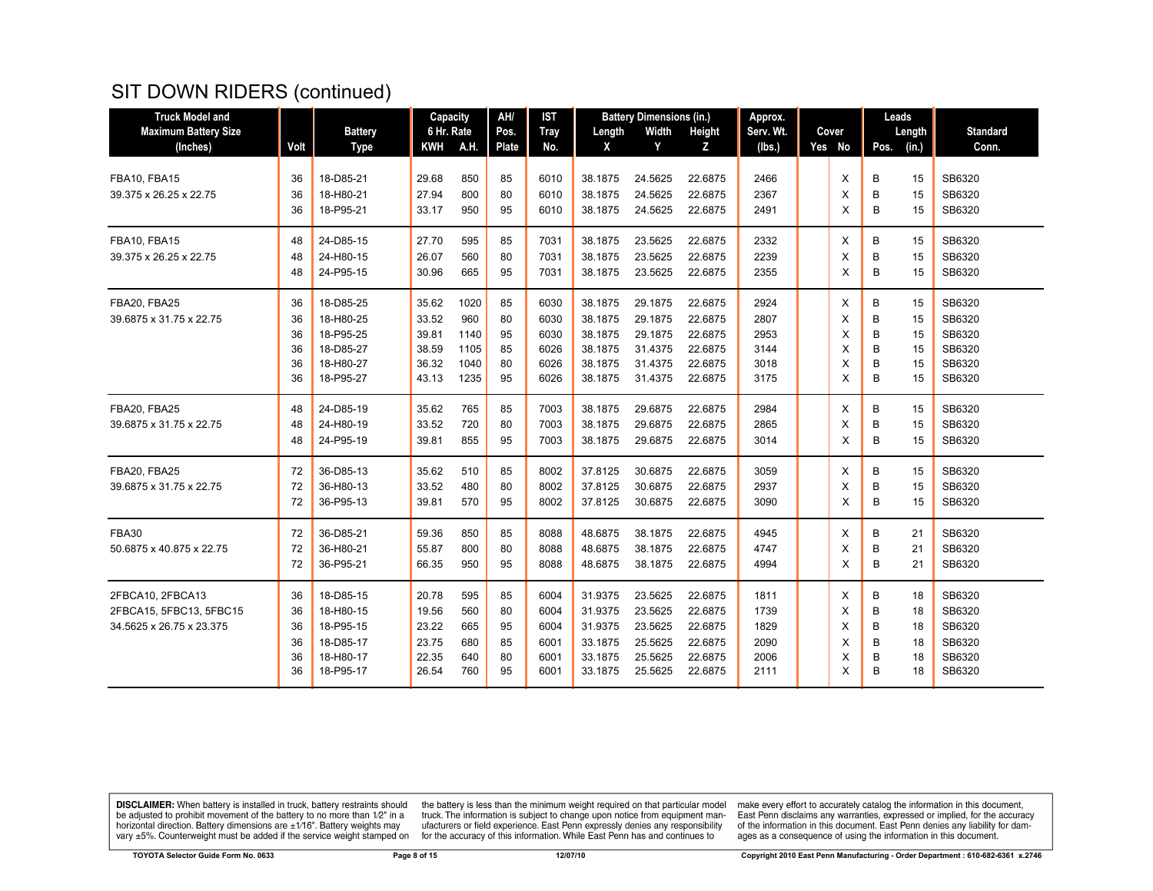| <b>Maximum Battery Size</b><br><b>Battery</b><br>6 Hr. Rate<br><b>Tray</b><br>Width<br>Height<br>Serv. Wt.<br><b>Standard</b><br>Pos.<br>Cover<br>Length<br>Length<br>A.H.<br>(Inches)<br>Volt<br><b>Type</b><br><b>KWH</b><br><b>Plate</b><br>No.<br>X<br>Y<br>Z<br>Yes No<br>Pos.<br>(in.)<br>Conn.<br>(Ibs.)<br>18-D85-21<br>850<br>85<br>2466<br>В<br>SB6320<br>FBA10, FBA15<br>36<br>29.68<br>6010<br>38.1875<br>24.5625<br>22.6875<br>Х<br>15<br>18-H80-21<br>27.94<br>2367<br>B<br>SB6320<br>39.375 x 26.25 x 22.75<br>800<br>80<br>6010<br>38.1875<br>24.5625<br>22.6875<br>X<br>15<br>36<br>B<br>18-P95-21<br>33.17<br>95<br>38.1875<br>24.5625<br>2491<br>X<br>SB6320<br>36<br>950<br>6010<br>22.6875<br>15<br>FBA10, FBA15<br>24-D85-15<br>27.70<br>595<br>2332<br>В<br>SB6320<br>48<br>85<br>7031<br>38.1875<br>23.5625<br>22.6875<br>X<br>15<br>26.07<br>2239<br>B<br>SB6320<br>39.375 x 26.25 x 22.75<br>24-H80-15<br>560<br>7031<br>38.1875<br>23.5625<br>22.6875<br>X<br>48<br>80<br>15<br>В<br>24-P95-15<br>30.96<br>665<br>38.1875<br>23.5625<br>2355<br>X<br>SB6320<br>48<br>95<br>7031<br>22.6875<br>15<br>FBA20, FBA25<br>18-D85-25<br>1020<br>6030<br>29.1875<br>2924<br>В<br>SB6320<br>36<br>35.62<br>85<br>38.1875<br>22.6875<br>X<br>15<br>18-H80-25<br>33.52<br>960<br>6030<br>38.1875<br>29.1875<br>2807<br>В<br>SB6320<br>39.6875 x 31.75 x 22.75<br>36<br>80<br>22.6875<br>X<br>15<br>2953<br>B<br>SB6320<br>18-P95-25<br>39.81<br>95<br>6030<br>38.1875<br>29.1875<br>22.6875<br>X<br>36<br>1140<br>15<br>B<br>18-D85-27<br>1105<br>6026<br>38.1875<br>31.4375<br>22.6875<br>3144<br>SB6320<br>36<br>38.59<br>85<br>X<br>15<br>36<br>1040<br>X<br>B<br>15<br>SB6320<br>18-H80-27<br>36.32<br>80<br>6026<br>38.1875<br>31.4375<br>22.6875<br>3018<br>B<br>36<br>18-P95-27<br>1235<br>95<br>38.1875<br>31.4375<br>3175<br>15<br>SB6320<br>43.13<br>6026<br>22.6875<br>X<br>FBA20, FBA25<br>24-D85-19<br>765<br>7003<br>29.6875<br>2984<br>SB6320<br>48<br>35.62<br>85<br>38.1875<br>22.6875<br>X<br>В<br>15<br>720<br>B<br>SB6320<br>24-H80-19<br>33.52<br>80<br>7003<br>38.1875<br>29.6875<br>22.6875<br>2865<br>X<br>15<br>39.6875 x 31.75 x 22.75<br>48<br>24-P95-19<br>29.6875<br>3014<br>B<br>SB6320<br>48<br>39.81<br>855<br>95<br>7003<br>38.1875<br>22.6875<br>X<br>15<br>FBA20. FBA25<br>36-D85-13<br>8002<br>3059<br>SB6320 |
|-------------------------------------------------------------------------------------------------------------------------------------------------------------------------------------------------------------------------------------------------------------------------------------------------------------------------------------------------------------------------------------------------------------------------------------------------------------------------------------------------------------------------------------------------------------------------------------------------------------------------------------------------------------------------------------------------------------------------------------------------------------------------------------------------------------------------------------------------------------------------------------------------------------------------------------------------------------------------------------------------------------------------------------------------------------------------------------------------------------------------------------------------------------------------------------------------------------------------------------------------------------------------------------------------------------------------------------------------------------------------------------------------------------------------------------------------------------------------------------------------------------------------------------------------------------------------------------------------------------------------------------------------------------------------------------------------------------------------------------------------------------------------------------------------------------------------------------------------------------------------------------------------------------------------------------------------------------------------------------------------------------------------------------------------------------------------------------------------------------------------------------------------------------------------------------------------------------------------------------------------------------------------------------------------------------------------------------------------------------------|
|                                                                                                                                                                                                                                                                                                                                                                                                                                                                                                                                                                                                                                                                                                                                                                                                                                                                                                                                                                                                                                                                                                                                                                                                                                                                                                                                                                                                                                                                                                                                                                                                                                                                                                                                                                                                                                                                                                                                                                                                                                                                                                                                                                                                                                                                                                                                                                   |
|                                                                                                                                                                                                                                                                                                                                                                                                                                                                                                                                                                                                                                                                                                                                                                                                                                                                                                                                                                                                                                                                                                                                                                                                                                                                                                                                                                                                                                                                                                                                                                                                                                                                                                                                                                                                                                                                                                                                                                                                                                                                                                                                                                                                                                                                                                                                                                   |
|                                                                                                                                                                                                                                                                                                                                                                                                                                                                                                                                                                                                                                                                                                                                                                                                                                                                                                                                                                                                                                                                                                                                                                                                                                                                                                                                                                                                                                                                                                                                                                                                                                                                                                                                                                                                                                                                                                                                                                                                                                                                                                                                                                                                                                                                                                                                                                   |
|                                                                                                                                                                                                                                                                                                                                                                                                                                                                                                                                                                                                                                                                                                                                                                                                                                                                                                                                                                                                                                                                                                                                                                                                                                                                                                                                                                                                                                                                                                                                                                                                                                                                                                                                                                                                                                                                                                                                                                                                                                                                                                                                                                                                                                                                                                                                                                   |
|                                                                                                                                                                                                                                                                                                                                                                                                                                                                                                                                                                                                                                                                                                                                                                                                                                                                                                                                                                                                                                                                                                                                                                                                                                                                                                                                                                                                                                                                                                                                                                                                                                                                                                                                                                                                                                                                                                                                                                                                                                                                                                                                                                                                                                                                                                                                                                   |
|                                                                                                                                                                                                                                                                                                                                                                                                                                                                                                                                                                                                                                                                                                                                                                                                                                                                                                                                                                                                                                                                                                                                                                                                                                                                                                                                                                                                                                                                                                                                                                                                                                                                                                                                                                                                                                                                                                                                                                                                                                                                                                                                                                                                                                                                                                                                                                   |
|                                                                                                                                                                                                                                                                                                                                                                                                                                                                                                                                                                                                                                                                                                                                                                                                                                                                                                                                                                                                                                                                                                                                                                                                                                                                                                                                                                                                                                                                                                                                                                                                                                                                                                                                                                                                                                                                                                                                                                                                                                                                                                                                                                                                                                                                                                                                                                   |
|                                                                                                                                                                                                                                                                                                                                                                                                                                                                                                                                                                                                                                                                                                                                                                                                                                                                                                                                                                                                                                                                                                                                                                                                                                                                                                                                                                                                                                                                                                                                                                                                                                                                                                                                                                                                                                                                                                                                                                                                                                                                                                                                                                                                                                                                                                                                                                   |
|                                                                                                                                                                                                                                                                                                                                                                                                                                                                                                                                                                                                                                                                                                                                                                                                                                                                                                                                                                                                                                                                                                                                                                                                                                                                                                                                                                                                                                                                                                                                                                                                                                                                                                                                                                                                                                                                                                                                                                                                                                                                                                                                                                                                                                                                                                                                                                   |
|                                                                                                                                                                                                                                                                                                                                                                                                                                                                                                                                                                                                                                                                                                                                                                                                                                                                                                                                                                                                                                                                                                                                                                                                                                                                                                                                                                                                                                                                                                                                                                                                                                                                                                                                                                                                                                                                                                                                                                                                                                                                                                                                                                                                                                                                                                                                                                   |
|                                                                                                                                                                                                                                                                                                                                                                                                                                                                                                                                                                                                                                                                                                                                                                                                                                                                                                                                                                                                                                                                                                                                                                                                                                                                                                                                                                                                                                                                                                                                                                                                                                                                                                                                                                                                                                                                                                                                                                                                                                                                                                                                                                                                                                                                                                                                                                   |
|                                                                                                                                                                                                                                                                                                                                                                                                                                                                                                                                                                                                                                                                                                                                                                                                                                                                                                                                                                                                                                                                                                                                                                                                                                                                                                                                                                                                                                                                                                                                                                                                                                                                                                                                                                                                                                                                                                                                                                                                                                                                                                                                                                                                                                                                                                                                                                   |
|                                                                                                                                                                                                                                                                                                                                                                                                                                                                                                                                                                                                                                                                                                                                                                                                                                                                                                                                                                                                                                                                                                                                                                                                                                                                                                                                                                                                                                                                                                                                                                                                                                                                                                                                                                                                                                                                                                                                                                                                                                                                                                                                                                                                                                                                                                                                                                   |
|                                                                                                                                                                                                                                                                                                                                                                                                                                                                                                                                                                                                                                                                                                                                                                                                                                                                                                                                                                                                                                                                                                                                                                                                                                                                                                                                                                                                                                                                                                                                                                                                                                                                                                                                                                                                                                                                                                                                                                                                                                                                                                                                                                                                                                                                                                                                                                   |
|                                                                                                                                                                                                                                                                                                                                                                                                                                                                                                                                                                                                                                                                                                                                                                                                                                                                                                                                                                                                                                                                                                                                                                                                                                                                                                                                                                                                                                                                                                                                                                                                                                                                                                                                                                                                                                                                                                                                                                                                                                                                                                                                                                                                                                                                                                                                                                   |
|                                                                                                                                                                                                                                                                                                                                                                                                                                                                                                                                                                                                                                                                                                                                                                                                                                                                                                                                                                                                                                                                                                                                                                                                                                                                                                                                                                                                                                                                                                                                                                                                                                                                                                                                                                                                                                                                                                                                                                                                                                                                                                                                                                                                                                                                                                                                                                   |
|                                                                                                                                                                                                                                                                                                                                                                                                                                                                                                                                                                                                                                                                                                                                                                                                                                                                                                                                                                                                                                                                                                                                                                                                                                                                                                                                                                                                                                                                                                                                                                                                                                                                                                                                                                                                                                                                                                                                                                                                                                                                                                                                                                                                                                                                                                                                                                   |
|                                                                                                                                                                                                                                                                                                                                                                                                                                                                                                                                                                                                                                                                                                                                                                                                                                                                                                                                                                                                                                                                                                                                                                                                                                                                                                                                                                                                                                                                                                                                                                                                                                                                                                                                                                                                                                                                                                                                                                                                                                                                                                                                                                                                                                                                                                                                                                   |
| 72<br>35.62<br>510<br>85<br>37.8125<br>30.6875<br>22.6875<br>X<br>В<br>15                                                                                                                                                                                                                                                                                                                                                                                                                                                                                                                                                                                                                                                                                                                                                                                                                                                                                                                                                                                                                                                                                                                                                                                                                                                                                                                                                                                                                                                                                                                                                                                                                                                                                                                                                                                                                                                                                                                                                                                                                                                                                                                                                                                                                                                                                         |
| B<br>72<br>36-H80-13<br>33.52<br>480<br>80<br>8002<br>37.8125<br>30.6875<br>22.6875<br>2937<br>X<br>15<br>SB6320<br>39.6875 x 31.75 x 22.75                                                                                                                                                                                                                                                                                                                                                                                                                                                                                                                                                                                                                                                                                                                                                                                                                                                                                                                                                                                                                                                                                                                                                                                                                                                                                                                                                                                                                                                                                                                                                                                                                                                                                                                                                                                                                                                                                                                                                                                                                                                                                                                                                                                                                       |
| 36-P95-13<br>30.6875<br>3090<br>B<br>SB6320<br>72<br>39.81<br>570<br>95<br>8002<br>37.8125<br>22.6875<br>X<br>15                                                                                                                                                                                                                                                                                                                                                                                                                                                                                                                                                                                                                                                                                                                                                                                                                                                                                                                                                                                                                                                                                                                                                                                                                                                                                                                                                                                                                                                                                                                                                                                                                                                                                                                                                                                                                                                                                                                                                                                                                                                                                                                                                                                                                                                  |
| 4945<br>SB6320<br><b>FBA30</b><br>36-D85-21<br>59.36<br>850<br>85<br>8088<br>48.6875<br>38.1875<br>22.6875<br>X<br>В<br>72<br>21                                                                                                                                                                                                                                                                                                                                                                                                                                                                                                                                                                                                                                                                                                                                                                                                                                                                                                                                                                                                                                                                                                                                                                                                                                                                                                                                                                                                                                                                                                                                                                                                                                                                                                                                                                                                                                                                                                                                                                                                                                                                                                                                                                                                                                  |
| 4747<br>50.6875 x 40.875 x 22.75<br>36-H80-21<br>55.87<br>800<br>80<br>8088<br>48.6875<br>38.1875<br>22.6875<br>В<br>21<br>SB6320<br>72<br>Х                                                                                                                                                                                                                                                                                                                                                                                                                                                                                                                                                                                                                                                                                                                                                                                                                                                                                                                                                                                                                                                                                                                                                                                                                                                                                                                                                                                                                                                                                                                                                                                                                                                                                                                                                                                                                                                                                                                                                                                                                                                                                                                                                                                                                      |
| 36-P95-21<br>4994<br>B<br>21<br>SB6320<br>72<br>66.35<br>950<br>95<br>8088<br>48.6875<br>38.1875<br>22.6875<br>X                                                                                                                                                                                                                                                                                                                                                                                                                                                                                                                                                                                                                                                                                                                                                                                                                                                                                                                                                                                                                                                                                                                                                                                                                                                                                                                                                                                                                                                                                                                                                                                                                                                                                                                                                                                                                                                                                                                                                                                                                                                                                                                                                                                                                                                  |
| SB6320<br>2FBCA10, 2FBCA13<br>18-D85-15<br>20.78<br>595<br>85<br>6004<br>31.9375<br>23.5625<br>22.6875<br>1811<br>X<br>В<br>36<br>18                                                                                                                                                                                                                                                                                                                                                                                                                                                                                                                                                                                                                                                                                                                                                                                                                                                                                                                                                                                                                                                                                                                                                                                                                                                                                                                                                                                                                                                                                                                                                                                                                                                                                                                                                                                                                                                                                                                                                                                                                                                                                                                                                                                                                              |
| 1739<br>18-H80-15<br>19.56<br>560<br>80<br>6004<br>31.9375<br>23.5625<br>22.6875<br>B<br>18<br>SB6320<br>2FBCA15, 5FBC13, 5FBC15<br>36<br>Х                                                                                                                                                                                                                                                                                                                                                                                                                                                                                                                                                                                                                                                                                                                                                                                                                                                                                                                                                                                                                                                                                                                                                                                                                                                                                                                                                                                                                                                                                                                                                                                                                                                                                                                                                                                                                                                                                                                                                                                                                                                                                                                                                                                                                       |
| 18-P95-15<br>665<br>23.5625<br>1829<br>B<br>SB6320<br>34.5625 x 26.75 x 23.375<br>36<br>23.22<br>95<br>6004<br>31.9375<br>22.6875<br>X<br>18                                                                                                                                                                                                                                                                                                                                                                                                                                                                                                                                                                                                                                                                                                                                                                                                                                                                                                                                                                                                                                                                                                                                                                                                                                                                                                                                                                                                                                                                                                                                                                                                                                                                                                                                                                                                                                                                                                                                                                                                                                                                                                                                                                                                                      |
| B<br>18-D85-17<br>23.75<br>680<br>33.1875<br>25.5625<br>22.6875<br>2090<br>X<br>18<br>SB6320<br>36<br>85<br>6001                                                                                                                                                                                                                                                                                                                                                                                                                                                                                                                                                                                                                                                                                                                                                                                                                                                                                                                                                                                                                                                                                                                                                                                                                                                                                                                                                                                                                                                                                                                                                                                                                                                                                                                                                                                                                                                                                                                                                                                                                                                                                                                                                                                                                                                  |
| B<br>22.35<br>80<br>33.1875<br>25.5625<br>22.6875<br>2006<br>SB6320<br>36<br>18-H80-17<br>640<br>6001<br>X<br>18                                                                                                                                                                                                                                                                                                                                                                                                                                                                                                                                                                                                                                                                                                                                                                                                                                                                                                                                                                                                                                                                                                                                                                                                                                                                                                                                                                                                                                                                                                                                                                                                                                                                                                                                                                                                                                                                                                                                                                                                                                                                                                                                                                                                                                                  |
| B<br>25.5625<br>SB6320<br>36<br>18-P95-17<br>26.54<br>760<br>95<br>6001<br>33.1875<br>22.6875<br>2111<br>X<br>18                                                                                                                                                                                                                                                                                                                                                                                                                                                                                                                                                                                                                                                                                                                                                                                                                                                                                                                                                                                                                                                                                                                                                                                                                                                                                                                                                                                                                                                                                                                                                                                                                                                                                                                                                                                                                                                                                                                                                                                                                                                                                                                                                                                                                                                  |

**DISCLAIMER:** When battery is installed in truck, battery restraints should be adjusted to prohibit movement of the battery to no more than  $1/2$ " in a horizontal direction. Battery dimensions are  $\pm 1/16$ ". Battery weig

the battery is less than the minimum weight required on that particular model<br>truck. The information is subject to change upon notice from equipment man-<br>ufacturers or field experience. East Penn expressly denies any respo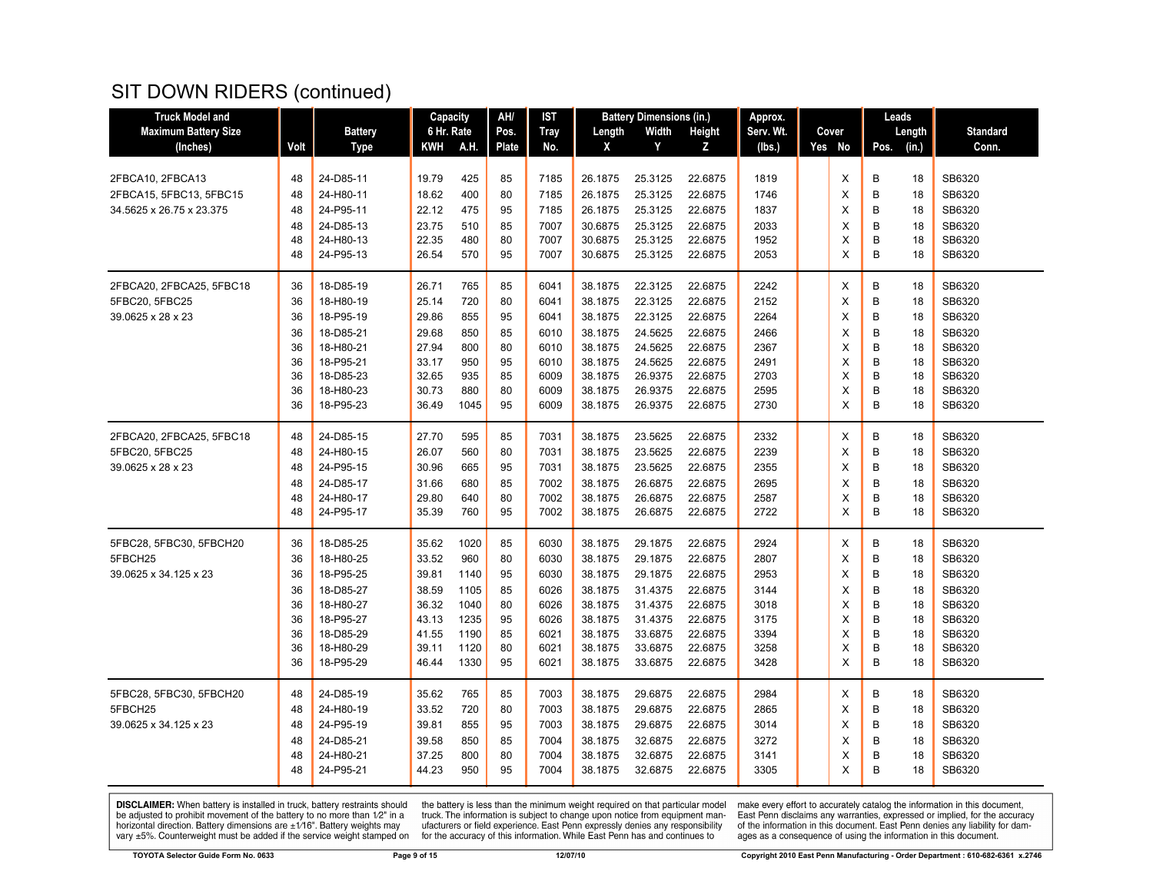| <b>Truck Model and</b>      |      |                | Capacity   |      | AH/          | <b>IST</b>  |         | <b>Battery Dimensions (in.)</b> |         | Approx.   |        |      | Leads  |                 |
|-----------------------------|------|----------------|------------|------|--------------|-------------|---------|---------------------------------|---------|-----------|--------|------|--------|-----------------|
| <b>Maximum Battery Size</b> |      | <b>Battery</b> | 6 Hr. Rate |      | Pos.         | <b>Tray</b> | Length  | Width                           | Height  | Serv. Wt. | Cover  |      | Length | <b>Standard</b> |
| (Inches)                    | Volt | <b>Type</b>    | KWH        | A.H. | <b>Plate</b> | No.         | X       | Y                               | Z       | (Ibs.)    | Yes No | Pos. | (in.)  | Conn.           |
|                             |      |                |            |      |              |             |         |                                 |         |           |        |      |        |                 |
| 2FBCA10, 2FBCA13            | 48   | 24-D85-11      | 19.79      | 425  | 85           | 7185        | 26.1875 | 25.3125                         | 22.6875 | 1819      | X      | В    | 18     | SB6320          |
| 2FBCA15, 5FBC13, 5FBC15     | 48   | 24-H80-11      | 18.62      | 400  | 80           | 7185        | 26.1875 | 25.3125                         | 22.6875 | 1746      | X      | B    | 18     | SB6320          |
| 34.5625 x 26.75 x 23.375    | 48   | 24-P95-11      | 22.12      | 475  | 95           | 7185        | 26.1875 | 25.3125                         | 22.6875 | 1837      | X      | B    | 18     | SB6320          |
|                             | 48   | 24-D85-13      | 23.75      | 510  | 85           | 7007        | 30.6875 | 25.3125                         | 22.6875 | 2033      | X      | B    | 18     | SB6320          |
|                             | 48   | 24-H80-13      | 22.35      | 480  | 80           | 7007        | 30.6875 | 25.3125                         | 22.6875 | 1952      | X      | B    | 18     | SB6320          |
|                             | 48   | 24-P95-13      | 26.54      | 570  | 95           | 7007        | 30.6875 | 25.3125                         | 22.6875 | 2053      | X      | B    | 18     | SB6320          |
| 2FBCA20, 2FBCA25, 5FBC18    | 36   | 18-D85-19      | 26.71      | 765  | 85           | 6041        | 38.1875 | 22.3125                         | 22.6875 | 2242      | X      | B    | 18     | SB6320          |
| 5FBC20, 5FBC25              | 36   | 18-H80-19      | 25.14      | 720  | 80           | 6041        | 38.1875 | 22.3125                         | 22.6875 | 2152      | X      | B    | 18     | SB6320          |
| 39.0625 x 28 x 23           | 36   | 18-P95-19      | 29.86      | 855  | 95           | 6041        | 38.1875 | 22.3125                         | 22.6875 | 2264      | X      | B    | 18     | SB6320          |
|                             | 36   | 18-D85-21      | 29.68      | 850  | 85           | 6010        | 38.1875 | 24.5625                         | 22.6875 | 2466      | X      | B    | 18     | SB6320          |
|                             | 36   | 18-H80-21      | 27.94      | 800  | 80           | 6010        | 38.1875 | 24.5625                         | 22.6875 | 2367      | X      | B    | 18     | SB6320          |
|                             | 36   | 18-P95-21      | 33.17      | 950  | 95           | 6010        | 38.1875 | 24.5625                         | 22.6875 | 2491      | X      | B    | 18     | SB6320          |
|                             | 36   | 18-D85-23      | 32.65      | 935  | 85           | 6009        | 38.1875 | 26.9375                         | 22.6875 | 2703      | X      | B    | 18     | SB6320          |
|                             | 36   | 18-H80-23      | 30.73      | 880  | 80           | 6009        | 38.1875 | 26.9375                         | 22.6875 | 2595      | X      | B    | 18     | SB6320          |
|                             | 36   | 18-P95-23      | 36.49      | 1045 | 95           | 6009        | 38.1875 | 26.9375                         | 22.6875 | 2730      | X      | B    | 18     | SB6320          |
| 2FBCA20, 2FBCA25, 5FBC18    | 48   | 24-D85-15      | 27.70      | 595  | 85           | 7031        | 38.1875 | 23.5625                         | 22.6875 | 2332      | X      | B    | 18     | SB6320          |
| 5FBC20, 5FBC25              | 48   | 24-H80-15      | 26.07      | 560  | 80           | 7031        | 38.1875 | 23.5625                         | 22.6875 | 2239      | X      | B    | 18     | SB6320          |
| 39.0625 x 28 x 23           | 48   | 24-P95-15      | 30.96      | 665  | 95           | 7031        | 38.1875 | 23.5625                         | 22.6875 | 2355      | X      | B    | 18     | SB6320          |
|                             | 48   | 24-D85-17      | 31.66      | 680  | 85           | 7002        | 38.1875 | 26.6875                         | 22.6875 | 2695      | X      | B    | 18     | SB6320          |
|                             | 48   | 24-H80-17      | 29.80      | 640  | 80           | 7002        | 38.1875 | 26.6875                         | 22.6875 | 2587      | X      | B    | 18     | SB6320          |
|                             | 48   | 24-P95-17      | 35.39      | 760  | 95           | 7002        | 38.1875 | 26.6875                         | 22.6875 | 2722      | X      | B    | 18     | SB6320          |
| 5FBC28, 5FBC30, 5FBCH20     | 36   | 18-D85-25      | 35.62      | 1020 | 85           | 6030        | 38.1875 | 29.1875                         | 22.6875 | 2924      | X      | B    | 18     | SB6320          |
| 5FBCH25                     | 36   | 18-H80-25      | 33.52      | 960  | 80           | 6030        | 38.1875 | 29.1875                         | 22.6875 | 2807      | X      | B    | 18     | SB6320          |
| 39.0625 x 34.125 x 23       | 36   | 18-P95-25      | 39.81      | 1140 | 95           | 6030        | 38.1875 | 29.1875                         | 22.6875 | 2953      | X      | B    | 18     | SB6320          |
|                             | 36   | 18-D85-27      | 38.59      | 1105 | 85           | 6026        | 38.1875 | 31.4375                         | 22.6875 | 3144      | X      | B    | 18     | SB6320          |
|                             | 36   | 18-H80-27      | 36.32      | 1040 | 80           | 6026        | 38.1875 | 31.4375                         | 22.6875 | 3018      | X      | B    | 18     | SB6320          |
|                             | 36   | 18-P95-27      | 43.13      | 1235 | 95           | 6026        | 38.1875 | 31.4375                         | 22.6875 | 3175      | X      | B    | 18     | SB6320          |
|                             | 36   | 18-D85-29      | 41.55      | 1190 | 85           | 6021        | 38.1875 | 33.6875                         | 22.6875 | 3394      | X      | B    | 18     | SB6320          |
|                             | 36   | 18-H80-29      | 39.11      | 1120 | 80           | 6021        | 38.1875 | 33.6875                         | 22.6875 | 3258      | X      | B    | 18     | SB6320          |
|                             | 36   | 18-P95-29      | 46.44      | 1330 | 95           | 6021        | 38.1875 | 33.6875                         | 22.6875 | 3428      | X      | B    | 18     | SB6320          |
| 5FBC28, 5FBC30, 5FBCH20     | 48   | 24-D85-19      | 35.62      | 765  | 85           | 7003        | 38.1875 | 29.6875                         | 22.6875 | 2984      | Х      | B    | 18     | SB6320          |
| 5FBCH25                     | 48   | 24-H80-19      | 33.52      | 720  | 80           | 7003        | 38.1875 | 29.6875                         | 22.6875 | 2865      | X      | B    | 18     | SB6320          |
| 39.0625 x 34.125 x 23       | 48   | 24-P95-19      | 39.81      | 855  | 95           | 7003        | 38.1875 | 29.6875                         | 22.6875 | 3014      | X      | B    | 18     | SB6320          |
|                             | 48   | 24-D85-21      | 39.58      | 850  | 85           | 7004        | 38.1875 | 32.6875                         | 22.6875 | 3272      | X      | B    | 18     | SB6320          |
|                             | 48   | 24-H80-21      | 37.25      | 800  | 80           | 7004        | 38.1875 | 32.6875                         | 22.6875 | 3141      | X      | B    | 18     | SB6320          |
|                             | 48   | 24-P95-21      | 44.23      | 950  | 95           | 7004        | 38.1875 | 32.6875                         | 22.6875 | 3305      | X      | B    | 18     | SB6320          |
|                             |      |                |            |      |              |             |         |                                 |         |           |        |      |        |                 |

**DISCLAIMER:** When battery is installed in truck, battery restraints should be adjusted to prohibit movement of the battery to no more than  $1/2$ " in a horizontal direction. Battery dimensions are  $\pm 1/16$ ". Battery weig

the battery is less than the minimum weight required on that particular model<br>truck. The information is subject to change upon notice from equipment man-<br>ufacturers or field experience. East Penn expressly denies any respo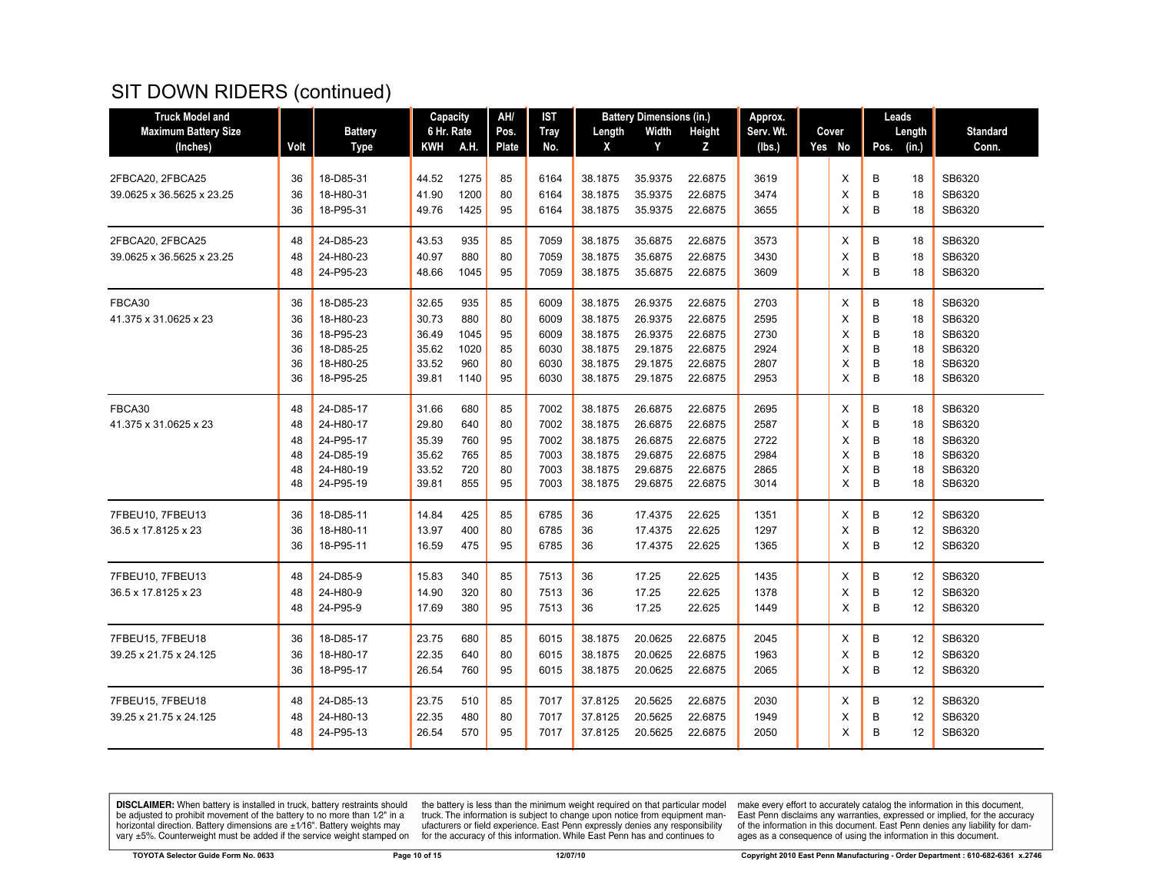| <b>Truck Model and</b>      |      |                | Capacity   |      | AH/          | IST         |         | <b>Battery Dimensions (in.)</b> |               | Approx.   |          |      | Leads  |                 |
|-----------------------------|------|----------------|------------|------|--------------|-------------|---------|---------------------------------|---------------|-----------|----------|------|--------|-----------------|
| <b>Maximum Battery Size</b> |      | <b>Battery</b> | 6 Hr. Rate |      | Pos.         | <b>Tray</b> | Length  | Width                           | <b>Height</b> | Serv. Wt. | Cover    |      | Length | <b>Standard</b> |
| (Inches)                    | Volt | <b>Type</b>    | KWH        | A.H. | <b>Plate</b> | No.         | X       | Y                               | z             | (Ibs.)    | Yes No   | Pos. | (in.)  | Conn.           |
|                             |      |                |            |      |              |             |         |                                 |               |           |          |      |        |                 |
| 2FBCA20, 2FBCA25            | 36   | 18-D85-31      | 44.52      | 1275 | 85           | 6164        | 38.1875 | 35.9375                         | 22.6875       | 3619      | Χ        | В    | 18     | SB6320          |
| 39.0625 x 36.5625 x 23.25   | 36   | 18-H80-31      | 41.90      | 1200 | 80           | 6164        | 38.1875 | 35.9375                         | 22.6875       | 3474      | X        | B    | 18     | SB6320          |
|                             | 36   | 18-P95-31      | 49.76      | 1425 | 95           | 6164        | 38.1875 | 35.9375                         | 22.6875       | 3655      | X        | B    | 18     | SB6320          |
| 2FBCA20, 2FBCA25            | 48   | 24-D85-23      | 43.53      | 935  | 85           | 7059        | 38.1875 | 35.6875                         | 22.6875       | 3573      | X        | B    | 18     | SB6320          |
| 39.0625 x 36.5625 x 23.25   | 48   | 24-H80-23      | 40.97      | 880  | 80           | 7059        | 38.1875 | 35.6875                         | 22.6875       | 3430      | X        | B    | 18     | SB6320          |
|                             | 48   | 24-P95-23      | 48.66      | 1045 | 95           | 7059        | 38.1875 | 35.6875                         | 22.6875       | 3609      | X        | B    | 18     | SB6320          |
| FBCA30                      | 36   | 18-D85-23      | 32.65      | 935  | 85           | 6009        | 38.1875 | 26.9375                         | 22.6875       | 2703      | Χ        | В    | 18     | SB6320          |
| 41.375 x 31.0625 x 23       | 36   | 18-H80-23      | 30.73      | 880  | 80           | 6009        | 38.1875 | 26.9375                         | 22.6875       | 2595      | X        | B    | 18     | SB6320          |
|                             | 36   | 18-P95-23      | 36.49      | 1045 | 95           | 6009        | 38.1875 | 26.9375                         | 22.6875       | 2730      | X        | B    | 18     | SB6320          |
|                             | 36   | 18-D85-25      | 35.62      | 1020 | 85           | 6030        | 38.1875 | 29.1875                         | 22.6875       | 2924      | X        | B    | 18     | SB6320          |
|                             | 36   | 18-H80-25      | 33.52      | 960  | 80           | 6030        | 38.1875 | 29.1875                         | 22.6875       | 2807      | X        | B    | 18     | SB6320          |
|                             | 36   | 18-P95-25      | 39.81      | 1140 | 95           | 6030        | 38.1875 | 29.1875                         | 22.6875       | 2953      | $\times$ | B    | 18     | SB6320          |
| FBCA30                      | 48   | 24-D85-17      | 31.66      | 680  | 85           | 7002        | 38.1875 | 26.6875                         | 22.6875       | 2695      | Χ        | B    | 18     | SB6320          |
| 41.375 x 31.0625 x 23       | 48   | 24-H80-17      | 29.80      | 640  | 80           | 7002        | 38.1875 | 26.6875                         | 22.6875       | 2587      | X        | B    | 18     | SB6320          |
|                             | 48   | 24-P95-17      | 35.39      | 760  | 95           | 7002        | 38.1875 | 26.6875                         | 22.6875       | 2722      | X        | B    | 18     | SB6320          |
|                             | 48   | 24-D85-19      | 35.62      | 765  | 85           | 7003        | 38.1875 | 29.6875                         | 22.6875       | 2984      | X        | B    | 18     | SB6320          |
|                             | 48   | 24-H80-19      | 33.52      | 720  | 80           | 7003        | 38.1875 | 29.6875                         | 22.6875       | 2865      | X        | B    | 18     | SB6320          |
|                             | 48   | 24-P95-19      | 39.81      | 855  | 95           | 7003        | 38.1875 | 29.6875                         | 22.6875       | 3014      | X        | B    | 18     | SB6320          |
| 7FBEU10, 7FBEU13            | 36   | 18-D85-11      | 14.84      | 425  | 85           | 6785        | 36      | 17.4375                         | 22.625        | 1351      | Χ        | В    | 12     | SB6320          |
| 36.5 x 17.8125 x 23         | 36   | 18-H80-11      | 13.97      | 400  | 80           | 6785        | 36      | 17.4375                         | 22.625        | 1297      | X        | B    | 12     | SB6320          |
|                             | 36   | 18-P95-11      | 16.59      | 475  | 95           | 6785        | 36      | 17.4375                         | 22.625        | 1365      | X        | B    | 12     | SB6320          |
| 7FBEU10, 7FBEU13            | 48   | 24-D85-9       | 15.83      | 340  | 85           | 7513        | 36      | 17.25                           | 22.625        | 1435      | Χ        | B    | 12     | SB6320          |
| 36.5 x 17.8125 x 23         | 48   | 24-H80-9       | 14.90      | 320  | 80           | 7513        | 36      | 17.25                           | 22.625        | 1378      | X        | B    | 12     | SB6320          |
|                             | 48   | 24-P95-9       | 17.69      | 380  | 95           | 7513        | 36      | 17.25                           | 22.625        | 1449      | X        | B    | 12     | SB6320          |
| 7FBEU15, 7FBEU18            | 36   | 18-D85-17      | 23.75      | 680  | 85           | 6015        | 38.1875 | 20.0625                         | 22.6875       | 2045      | X        | В    | 12     | SB6320          |
| 39.25 x 21.75 x 24.125      | 36   | 18-H80-17      | 22.35      | 640  | 80           | 6015        | 38.1875 | 20.0625                         | 22.6875       | 1963      | X        | B    | 12     | SB6320          |
|                             | 36   | 18-P95-17      | 26.54      | 760  | 95           | 6015        | 38.1875 | 20.0625                         | 22.6875       | 2065      | $\times$ | B    | 12     | SB6320          |
| 7FBEU15, 7FBEU18            | 48   | 24-D85-13      | 23.75      | 510  | 85           | 7017        | 37.8125 | 20.5625                         | 22.6875       | 2030      | Х        | в    | 12     | SB6320          |
| 39.25 x 21.75 x 24.125      | 48   | 24-H80-13      | 22.35      | 480  | 80           | 7017        | 37.8125 | 20.5625                         | 22.6875       | 1949      | X        | B    | 12     | SB6320          |
|                             | 48   | 24-P95-13      | 26.54      | 570  | 95           | 7017        | 37.8125 | 20.5625                         | 22.6875       | 2050      | $\times$ | B    | 12     | SB6320          |
|                             |      |                |            |      |              |             |         |                                 |               |           |          |      |        |                 |

**DISCLAIMER:** When battery is installed in truck, battery restraints should be adjusted to prohibit movement of the battery to no more than  $1/2$ " in a horizontal direction. Battery dimensions are  $\pm 1/16$ ". Battery weig

the battery is less than the minimum weight required on that particular model<br>truck. The information is subject to change upon notice from equipment man-<br>ufacturers or field experience. East Penn expressly denies any respo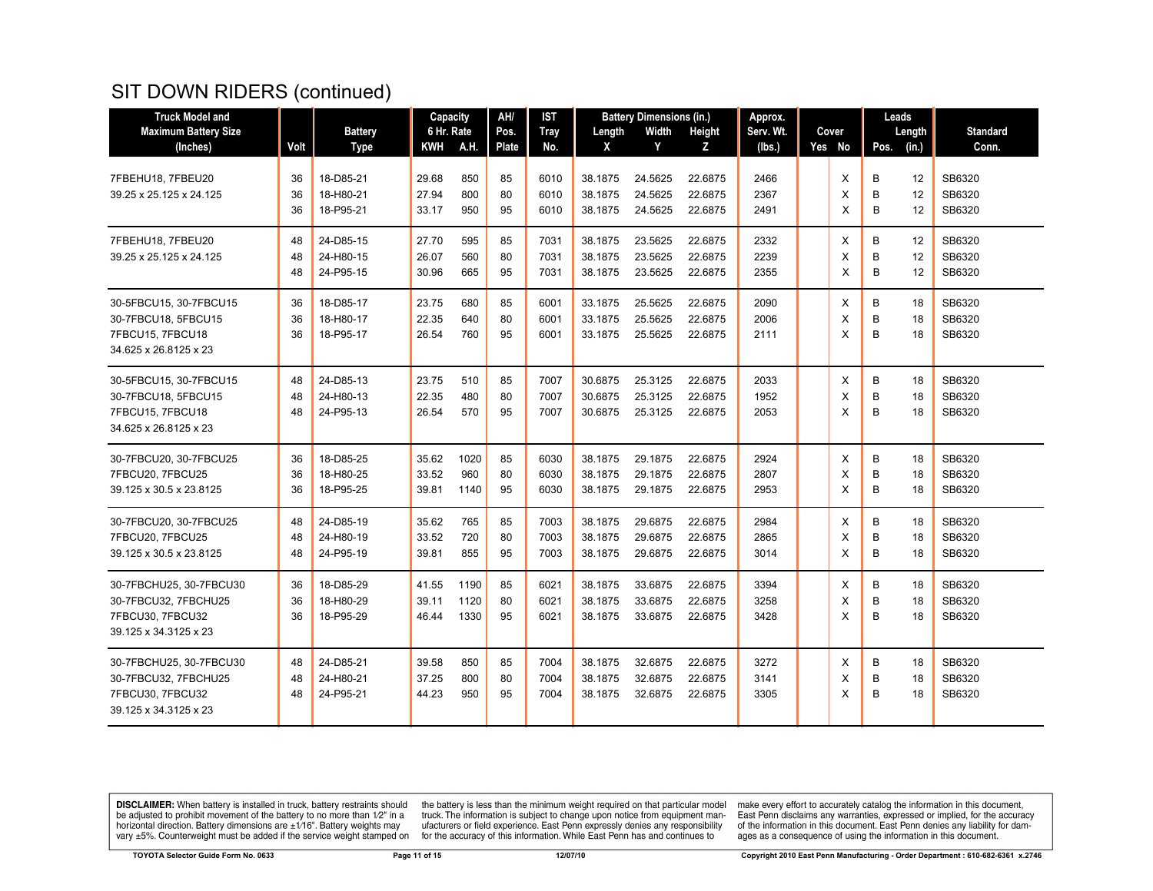| <b>Truck Model and</b>                       |          |                | Capacity       |            | AH/      | <b>IST</b>   |                    | <b>Battery Dimensions (in.)</b> |                    | Approx.      |        |        | Leads  |                  |
|----------------------------------------------|----------|----------------|----------------|------------|----------|--------------|--------------------|---------------------------------|--------------------|--------------|--------|--------|--------|------------------|
| <b>Maximum Battery Size</b>                  |          | <b>Battery</b> | 6 Hr. Rate     |            | Pos.     | <b>Tray</b>  | Length             | Width                           | Height             | Serv. Wt.    | Cover  |        | Length | <b>Standard</b>  |
| (Inches)                                     | Volt     | <b>Type</b>    | <b>KWH</b>     | A.H.       | Plate    | No.          | X                  | Y                               | z                  | (lbs.)       | Yes No | Pos.   | (in.)  | Conn.            |
|                                              |          | 18-D85-21      |                |            |          |              |                    |                                 |                    |              |        |        | 12     |                  |
| 7FBEHU18, 7FBEU20<br>39.25 x 25.125 x 24.125 | 36<br>36 | 18-H80-21      | 29.68<br>27.94 | 850<br>800 | 85<br>80 | 6010<br>6010 | 38.1875<br>38.1875 | 24.5625<br>24.5625              | 22.6875<br>22.6875 | 2466<br>2367 | X<br>X | B<br>B | 12     | SB6320<br>SB6320 |
|                                              | 36       | 18-P95-21      | 33.17          | 950        | 95       | 6010         | 38.1875            | 24.5625                         | 22.6875            | 2491         | X      | B      | 12     | SB6320           |
|                                              |          |                |                |            |          |              |                    |                                 |                    |              |        |        |        |                  |
| 7FBEHU18, 7FBEU20                            | 48       | 24-D85-15      | 27.70          | 595        | 85       | 7031         | 38.1875            | 23.5625                         | 22.6875            | 2332         | X      | B      | 12     | SB6320           |
| 39.25 x 25.125 x 24.125                      | 48       | 24-H80-15      | 26.07          | 560        | 80       | 7031         | 38.1875            | 23.5625                         | 22.6875            | 2239         | X      | B      | 12     | SB6320           |
|                                              | 48       | 24-P95-15      | 30.96          | 665        | 95       | 7031         | 38.1875            | 23.5625                         | 22.6875            | 2355         | X      | B      | 12     | SB6320           |
| 30-5FBCU15, 30-7FBCU15                       | 36       | 18-D85-17      | 23.75          | 680        | 85       | 6001         | 33.1875            | 25.5625                         | 22.6875            | 2090         | X      | B      | 18     | SB6320           |
| 30-7FBCU18, 5FBCU15                          | 36       | 18-H80-17      | 22.35          | 640        | 80       | 6001         | 33.1875            | 25.5625                         | 22.6875            | 2006         | X      | B      | 18     | SB6320           |
| 7FBCU15, 7FBCU18                             | 36       | 18-P95-17      | 26.54          | 760        | 95       | 6001         | 33.1875            | 25.5625                         | 22.6875            | 2111         | X      | B      | 18     | SB6320           |
| 34.625 x 26.8125 x 23                        |          |                |                |            |          |              |                    |                                 |                    |              |        |        |        |                  |
| 30-5FBCU15, 30-7FBCU15                       | 48       | 24-D85-13      | 23.75          | 510        | 85       | 7007         | 30.6875            | 25.3125                         | 22.6875            | 2033         | Χ      | В      | 18     | SB6320           |
| 30-7FBCU18, 5FBCU15                          | 48       | 24-H80-13      | 22.35          | 480        | 80       | 7007         | 30.6875            | 25.3125                         | 22.6875            | 1952         | X      | B      | 18     | SB6320           |
| 7FBCU15, 7FBCU18                             | 48       | 24-P95-13      | 26.54          | 570        | 95       | 7007         | 30.6875            | 25.3125                         | 22.6875            | 2053         | X      | B      | 18     | SB6320           |
| 34.625 x 26.8125 x 23                        |          |                |                |            |          |              |                    |                                 |                    |              |        |        |        |                  |
| 30-7FBCU20, 30-7FBCU25                       | 36       | 18-D85-25      | 35.62          | 1020       | 85       | 6030         | 38.1875            | 29.1875                         | 22.6875            | 2924         | Х      | B      | 18     | SB6320           |
| 7FBCU20, 7FBCU25                             | 36       | 18-H80-25      | 33.52          | 960        | 80       | 6030         | 38.1875            | 29.1875                         | 22.6875            | 2807         | X      | B      | 18     | SB6320           |
| 39.125 x 30.5 x 23.8125                      | 36       | 18-P95-25      | 39.81          | 1140       | 95       | 6030         | 38.1875            | 29.1875                         | 22.6875            | 2953         | X      | B      | 18     | SB6320           |
| 30-7FBCU20, 30-7FBCU25                       | 48       | 24-D85-19      | 35.62          | 765        | 85       | 7003         | 38.1875            | 29.6875                         | 22.6875            | 2984         | X      | B      | 18     | SB6320           |
| 7FBCU20, 7FBCU25                             | 48       | 24-H80-19      | 33.52          | 720        | 80       | 7003         | 38.1875            | 29.6875                         | 22.6875            | 2865         | X      | B      | 18     | SB6320           |
| 39.125 x 30.5 x 23.8125                      | 48       | 24-P95-19      | 39.81          | 855        | 95       | 7003         | 38.1875            | 29.6875                         | 22.6875            | 3014         | X      | B      | 18     | SB6320           |
| 30-7FBCHU25, 30-7FBCU30                      | 36       | 18-D85-29      | 41.55          | 1190       | 85       | 6021         | 38.1875            | 33.6875                         | 22.6875            | 3394         | X      | B      | 18     | SB6320           |
| 30-7FBCU32, 7FBCHU25                         | 36       | 18-H80-29      | 39.11          | 1120       | 80       | 6021         | 38.1875            | 33.6875                         | 22.6875            | 3258         | X      | B      | 18     | SB6320           |
| 7FBCU30, 7FBCU32                             | 36       | 18-P95-29      | 46.44          | 1330       | 95       | 6021         | 38.1875            | 33.6875                         | 22.6875            | 3428         | X      | B      | 18     | SB6320           |
| 39.125 x 34.3125 x 23                        |          |                |                |            |          |              |                    |                                 |                    |              |        |        |        |                  |
| 30-7FBCHU25, 30-7FBCU30                      | 48       | 24-D85-21      | 39.58          | 850        | 85       | 7004         | 38.1875            | 32.6875                         | 22.6875            | 3272         | X      | B      | 18     | SB6320           |
| 30-7FBCU32, 7FBCHU25                         | 48       | 24-H80-21      | 37.25          | 800        | 80       | 7004         | 38.1875            | 32.6875                         | 22.6875            | 3141         | X      | B      | 18     | SB6320           |
| 7FBCU30, 7FBCU32                             | 48       | 24-P95-21      | 44.23          | 950        | 95       | 7004         | 38.1875            | 32.6875                         | 22.6875            | 3305         | X      | B      | 18     | SB6320           |
| 39.125 x 34.3125 x 23                        |          |                |                |            |          |              |                    |                                 |                    |              |        |        |        |                  |
|                                              |          |                |                |            |          |              |                    |                                 |                    |              |        |        |        |                  |

**DISCLAIMER:** When battery is installed in truck, battery restraints should be adjusted to prohibit movement of the battery to no more than  $1/2$ " in a horizontal direction. Battery dimensions are  $\pm 1/16$ ". Battery weig

the battery is less than the minimum weight required on that particular model<br>truck. The information is subject to change upon notice from equipment man-<br>ufacturers or field experience. East Penn expressly denies any respo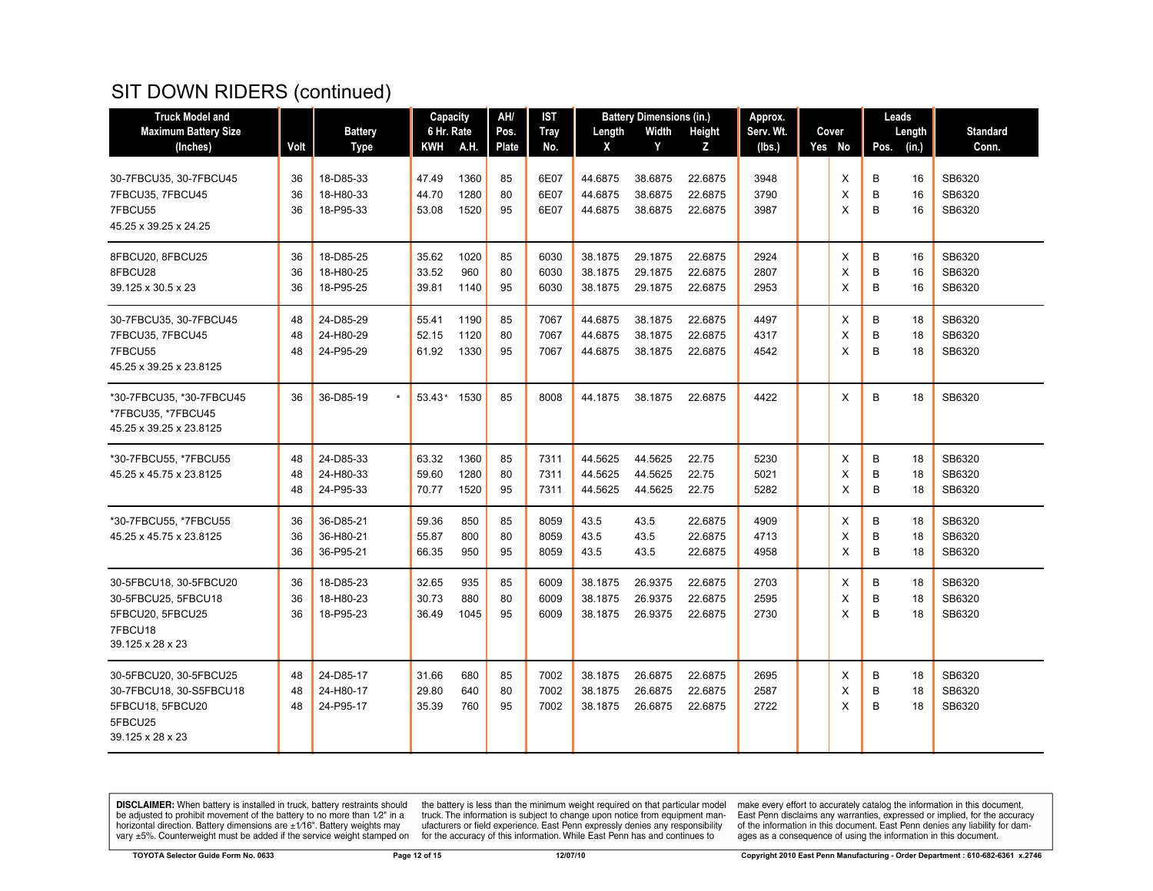| <b>Truck Model and</b>                                                                               |                |                                     | Capacity                |                      | AH/            | IST                  |                               | <b>Battery Dimensions (in.)</b> |                               | Approx.              |  |             | Leads       |                |                            |
|------------------------------------------------------------------------------------------------------|----------------|-------------------------------------|-------------------------|----------------------|----------------|----------------------|-------------------------------|---------------------------------|-------------------------------|----------------------|--|-------------|-------------|----------------|----------------------------|
| <b>Maximum Battery Size</b>                                                                          |                | <b>Battery</b>                      | 6 Hr. Rate              |                      | Pos.           | Tray                 | Length                        | Width                           | Height                        | Serv. Wt.            |  | Cover       |             | Length         | <b>Standard</b>            |
| (Inches)                                                                                             | Volt           | <b>Type</b>                         | KWH                     | <b>A.H.</b>          | <b>Plate</b>   | No.                  | X                             | Y                               | z                             | (Ibs.)               |  | Yes No      | Pos.        | (in.)          | Conn.                      |
| 30-7FBCU35, 30-7FBCU45<br>7FBCU35, 7FBCU45<br>7FBCU55<br>45.25 x 39.25 x 24.25                       | 36<br>36<br>36 | 18-D85-33<br>18-H80-33<br>18-P95-33 | 47.49<br>44.70<br>53.08 | 1360<br>1280<br>1520 | 85<br>80<br>95 | 6E07<br>6E07<br>6E07 | 44.6875<br>44.6875<br>44.6875 | 38.6875<br>38.6875<br>38.6875   | 22.6875<br>22.6875<br>22.6875 | 3948<br>3790<br>3987 |  | Х<br>X<br>X | B<br>B<br>B | 16<br>16<br>16 | SB6320<br>SB6320<br>SB6320 |
| 8FBCU20, 8FBCU25<br>8FBCU28<br>39.125 x 30.5 x 23                                                    | 36<br>36<br>36 | 18-D85-25<br>18-H80-25<br>18-P95-25 | 35.62<br>33.52<br>39.81 | 1020<br>960<br>1140  | 85<br>80<br>95 | 6030<br>6030<br>6030 | 38.1875<br>38.1875<br>38.1875 | 29.1875<br>29.1875<br>29.1875   | 22.6875<br>22.6875<br>22.6875 | 2924<br>2807<br>2953 |  | X<br>X<br>X | B<br>B<br>B | 16<br>16<br>16 | SB6320<br>SB6320<br>SB6320 |
| 30-7FBCU35, 30-7FBCU45<br>7FBCU35, 7FBCU45<br>7FBCU55<br>45.25 x 39.25 x 23.8125                     | 48<br>48<br>48 | 24-D85-29<br>24-H80-29<br>24-P95-29 | 55.41<br>52.15<br>61.92 | 1190<br>1120<br>1330 | 85<br>80<br>95 | 7067<br>7067<br>7067 | 44.6875<br>44.6875<br>44.6875 | 38.1875<br>38.1875<br>38.1875   | 22.6875<br>22.6875<br>22.6875 | 4497<br>4317<br>4542 |  | Χ<br>X<br>X | B<br>B<br>B | 18<br>18<br>18 | SB6320<br>SB6320<br>SB6320 |
| *30-7FBCU35, *30-7FBCU45<br>*7FBCU35, *7FBCU45<br>45.25 x 39.25 x 23.8125                            | 36             | 36-D85-19                           | 53.43* 1530             |                      | 85             | 8008                 | 44.1875                       | 38.1875                         | 22.6875                       | 4422                 |  | X           | B           | 18             | SB6320                     |
| *30-7FBCU55, *7FBCU55<br>45.25 x 45.75 x 23.8125                                                     | 48<br>48<br>48 | 24-D85-33<br>24-H80-33<br>24-P95-33 | 63.32<br>59.60<br>70.77 | 1360<br>1280<br>1520 | 85<br>80<br>95 | 7311<br>7311<br>7311 | 44.5625<br>44.5625<br>44.5625 | 44.5625<br>44.5625<br>44.5625   | 22.75<br>22.75<br>22.75       | 5230<br>5021<br>5282 |  | X<br>X<br>X | B<br>B<br>B | 18<br>18<br>18 | SB6320<br>SB6320<br>SB6320 |
| *30-7FBCU55, *7FBCU55<br>45.25 x 45.75 x 23.8125                                                     | 36<br>36<br>36 | 36-D85-21<br>36-H80-21<br>36-P95-21 | 59.36<br>55.87<br>66.35 | 850<br>800<br>950    | 85<br>80<br>95 | 8059<br>8059<br>8059 | 43.5<br>43.5<br>43.5          | 43.5<br>43.5<br>43.5            | 22.6875<br>22.6875<br>22.6875 | 4909<br>4713<br>4958 |  | Χ<br>X<br>X | B<br>B<br>B | 18<br>18<br>18 | SB6320<br>SB6320<br>SB6320 |
| 30-5FBCU18, 30-5FBCU20<br>30-5FBCU25, 5FBCU18<br>5FBCU20, 5FBCU25<br>7FBCU18<br>39.125 x 28 x 23     | 36<br>36<br>36 | 18-D85-23<br>18-H80-23<br>18-P95-23 | 32.65<br>30.73<br>36.49 | 935<br>880<br>1045   | 85<br>80<br>95 | 6009<br>6009<br>6009 | 38.1875<br>38.1875<br>38.1875 | 26.9375<br>26.9375<br>26.9375   | 22.6875<br>22.6875<br>22.6875 | 2703<br>2595<br>2730 |  | X<br>X<br>X | В<br>B<br>B | 18<br>18<br>18 | SB6320<br>SB6320<br>SB6320 |
| 30-5FBCU20, 30-5FBCU25<br>30-7FBCU18, 30-S5FBCU18<br>5FBCU18, 5FBCU20<br>5FBCU25<br>39.125 x 28 x 23 | 48<br>48<br>48 | 24-D85-17<br>24-H80-17<br>24-P95-17 | 31.66<br>29.80<br>35.39 | 680<br>640<br>760    | 85<br>80<br>95 | 7002<br>7002<br>7002 | 38.1875<br>38.1875<br>38.1875 | 26.6875<br>26.6875<br>26.6875   | 22.6875<br>22.6875<br>22.6875 | 2695<br>2587<br>2722 |  | Χ<br>X<br>X | B<br>B<br>B | 18<br>18<br>18 | SB6320<br>SB6320<br>SB6320 |

**DISCLAIMER:** When battery is installed in truck, battery restraints should be adjusted to prohibit movement of the battery to no more than  $1/2$ " in a horizontal direction. Battery dimensions are  $\pm 1/16$ ". Battery weig

the battery is less than the minimum weight required on that particular model<br>truck. The information is subject to change upon notice from equipment man-<br>ufacturers or field experience. East Penn expressly denies any respo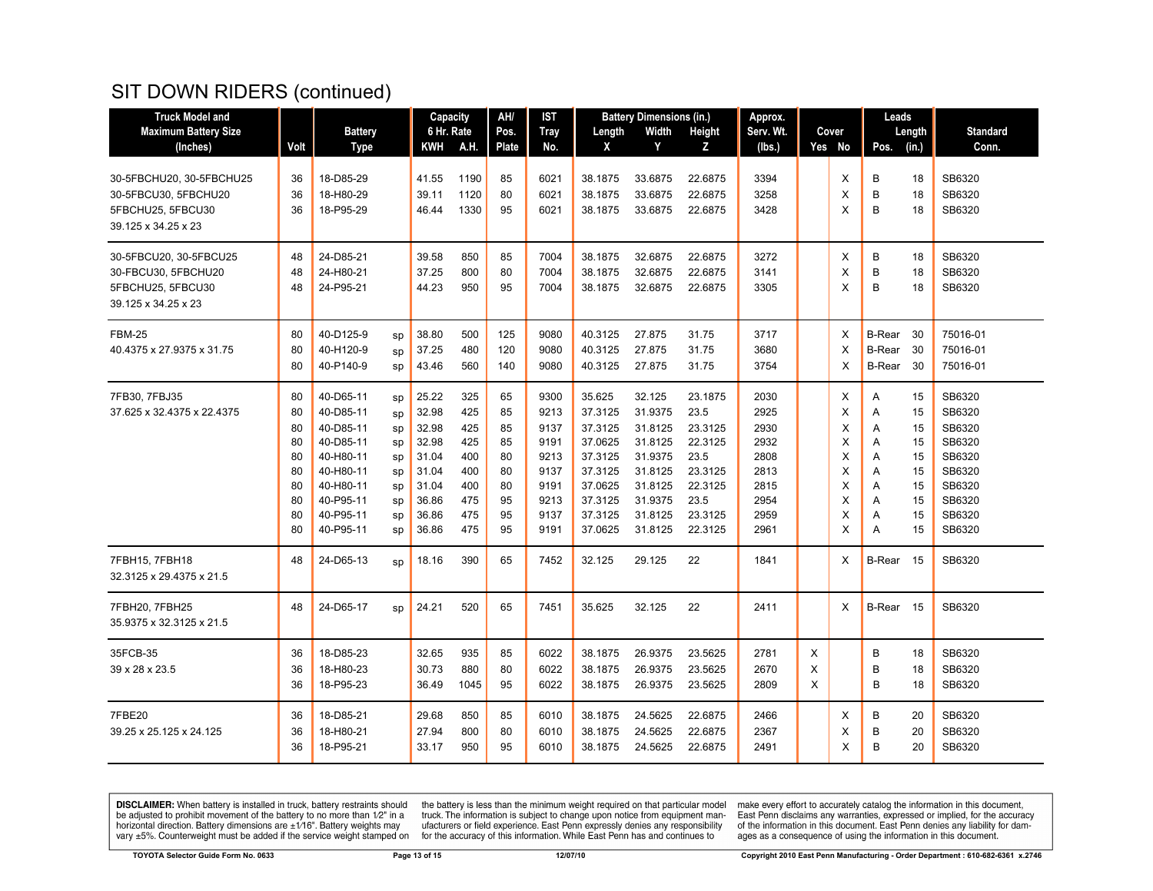| <b>Truck Model and</b>      |      |                |    | Capacity   |      | AH/          | IST  |         | <b>Battery Dimensions (in.)</b> |         | Approx.   |   |        | Leads         |        |                 |
|-----------------------------|------|----------------|----|------------|------|--------------|------|---------|---------------------------------|---------|-----------|---|--------|---------------|--------|-----------------|
| <b>Maximum Battery Size</b> |      | <b>Battery</b> |    | 6 Hr. Rate |      | Pos.         | Tray | Length  | Width                           | Height  | Serv. Wt. |   | Cover  |               | Length | <b>Standard</b> |
| (Inches)                    | Volt | Type           |    | KWH        | A.H. | <b>Plate</b> | No.  | X       | Y                               | Z       | (lbs.)    |   | Yes No | Pos.          | (in.)  | Conn.           |
|                             |      |                |    |            |      |              |      |         |                                 |         |           |   |        |               |        |                 |
| 30-5FBCHU20, 30-5FBCHU25    | 36   | 18-D85-29      |    | 41.55      | 1190 | 85           | 6021 | 38.1875 | 33.6875                         | 22.6875 | 3394      |   | X      | B             | 18     | SB6320          |
| 30-5FBCU30, 5FBCHU20        | 36   | 18-H80-29      |    | 39.11      | 1120 | 80           | 6021 | 38.1875 | 33.6875                         | 22.6875 | 3258      |   | X      | B             | 18     | SB6320          |
| 5FBCHU25, 5FBCU30           | 36   | 18-P95-29      |    | 46.44      | 1330 | 95           | 6021 | 38.1875 | 33.6875                         | 22.6875 | 3428      |   | X      | B             | 18     | SB6320          |
| 39.125 x 34.25 x 23         |      |                |    |            |      |              |      |         |                                 |         |           |   |        |               |        |                 |
| 30-5FBCU20, 30-5FBCU25      | 48   | 24-D85-21      |    | 39.58      | 850  | 85           | 7004 | 38.1875 | 32.6875                         | 22.6875 | 3272      |   | X      | В             | 18     | SB6320          |
| 30-FBCU30, 5FBCHU20         | 48   | 24-H80-21      |    | 37.25      | 800  | 80           | 7004 | 38.1875 | 32.6875                         | 22.6875 | 3141      |   | X      | B             | 18     | SB6320          |
| 5FBCHU25, 5FBCU30           | 48   | 24-P95-21      |    | 44.23      | 950  | 95           | 7004 | 38.1875 | 32.6875                         | 22.6875 | 3305      |   | X      | B             | 18     | SB6320          |
| 39.125 x 34.25 x 23         |      |                |    |            |      |              |      |         |                                 |         |           |   |        |               |        |                 |
| <b>FBM-25</b>               | 80   | 40-D125-9      | sp | 38.80      | 500  | 125          | 9080 | 40.3125 | 27.875                          | 31.75   | 3717      |   | X      | <b>B-Rear</b> | -30    | 75016-01        |
| 40.4375 x 27.9375 x 31.75   | 80   | 40-H120-9      | sp | 37.25      | 480  | 120          | 9080 | 40.3125 | 27.875                          | 31.75   | 3680      |   | X      | <b>B-Rear</b> | 30     | 75016-01        |
|                             | 80   | 40-P140-9      | sp | 43.46      | 560  | 140          | 9080 | 40.3125 | 27.875                          | 31.75   | 3754      |   | X      | <b>B-Rear</b> | 30     | 75016-01        |
|                             |      |                |    |            |      |              |      |         |                                 |         |           |   |        |               |        |                 |
| 7FB30, 7FBJ35               | 80   | 40-D65-11      | sp | 25.22      | 325  | 65           | 9300 | 35.625  | 32.125                          | 23.1875 | 2030      |   | X      | Α             | 15     | SB6320          |
| 37.625 x 32.4375 x 22.4375  | 80   | 40-D85-11      | sp | 32.98      | 425  | 85           | 9213 | 37.3125 | 31.9375                         | 23.5    | 2925      |   | X      | Α             | 15     | SB6320          |
|                             | 80   | 40-D85-11      | sp | 32.98      | 425  | 85           | 9137 | 37.3125 | 31.8125                         | 23.3125 | 2930      |   | X      | A             | 15     | SB6320          |
|                             | 80   | 40-D85-11      | sp | 32.98      | 425  | 85           | 9191 | 37.0625 | 31.8125                         | 22.3125 | 2932      |   | X      | Α             | 15     | SB6320          |
|                             | 80   | 40-H80-11      | sp | 31.04      | 400  | 80           | 9213 | 37.3125 | 31.9375                         | 23.5    | 2808      |   | X      | Α             | 15     | SB6320          |
|                             | 80   | 40-H80-11      | sp | 31.04      | 400  | 80           | 9137 | 37.3125 | 31.8125                         | 23.3125 | 2813      |   | X      | A             | 15     | SB6320          |
|                             | 80   | 40-H80-11      | sp | 31.04      | 400  | 80           | 9191 | 37.0625 | 31.8125                         | 22.3125 | 2815      |   | X      | A             | 15     | SB6320          |
|                             | 80   | 40-P95-11      | sp | 36.86      | 475  | 95           | 9213 | 37.3125 | 31.9375                         | 23.5    | 2954      |   | X      | A             | 15     | SB6320          |
|                             | 80   | 40-P95-11      | sp | 36.86      | 475  | 95           | 9137 | 37.3125 | 31.8125                         | 23.3125 | 2959      |   | Х      | Α             | 15     | SB6320          |
|                             | 80   | 40-P95-11      | sp | 36.86      | 475  | 95           | 9191 | 37.0625 | 31.8125                         | 22.3125 | 2961      |   | X      | A             | 15     | SB6320          |
| 7FBH15, 7FBH18              | 48   | 24-D65-13      | SD | 18.16      | 390  | 65           | 7452 | 32.125  | 29.125                          | 22      | 1841      |   | X      | <b>B-Rear</b> | - 15   | SB6320          |
| 32.3125 x 29.4375 x 21.5    |      |                |    |            |      |              |      |         |                                 |         |           |   |        |               |        |                 |
| 7FBH20, 7FBH25              | 48   | 24-D65-17      | SD | 24.21      | 520  | 65           | 7451 | 35.625  | 32.125                          | 22      | 2411      |   | X      | B-Rear 15     |        | SB6320          |
| 35.9375 x 32.3125 x 21.5    |      |                |    |            |      |              |      |         |                                 |         |           |   |        |               |        |                 |
|                             |      |                |    |            |      |              |      |         |                                 |         |           |   |        |               |        |                 |
| 35FCB-35                    | 36   | 18-D85-23      |    | 32.65      | 935  | 85           | 6022 | 38.1875 | 26.9375                         | 23.5625 | 2781      | X |        | В             | 18     | SB6320          |
| 39 x 28 x 23.5              | 36   | 18-H80-23      |    | 30.73      | 880  | 80           | 6022 | 38.1875 | 26.9375                         | 23.5625 | 2670      | X |        | B             | 18     | SB6320          |
|                             | 36   | 18-P95-23      |    | 36.49      | 1045 | 95           | 6022 | 38.1875 | 26.9375                         | 23.5625 | 2809      | X |        | B             | 18     | SB6320          |
| 7FBE20                      | 36   | 18-D85-21      |    | 29.68      | 850  | 85           | 6010 | 38.1875 | 24.5625                         | 22.6875 | 2466      |   | х      | В             | 20     | SB6320          |
| 39.25 x 25.125 x 24.125     | 36   | 18-H80-21      |    | 27.94      | 800  | 80           | 6010 | 38.1875 | 24.5625                         | 22.6875 | 2367      |   | Χ      | B             | 20     | SB6320          |
|                             | 36   | 18-P95-21      |    | 33.17      | 950  | 95           | 6010 | 38.1875 | 24.5625                         | 22.6875 | 2491      |   | X      | B             | 20     | SB6320          |
|                             |      |                |    |            |      |              |      |         |                                 |         |           |   |        |               |        |                 |

**DISCLAIMER:** When battery is installed in truck, battery restraints should be adjusted to prohibit movement of the battery to no more than  $1/2$ " in a horizontal direction. Battery dimensions are  $\pm 1/16$ ". Battery weig

the battery is less than the minimum weight required on that particular model<br>truck. The information is subject to change upon notice from equipment man-<br>ufacturers or field experience. East Penn expressly denies any respo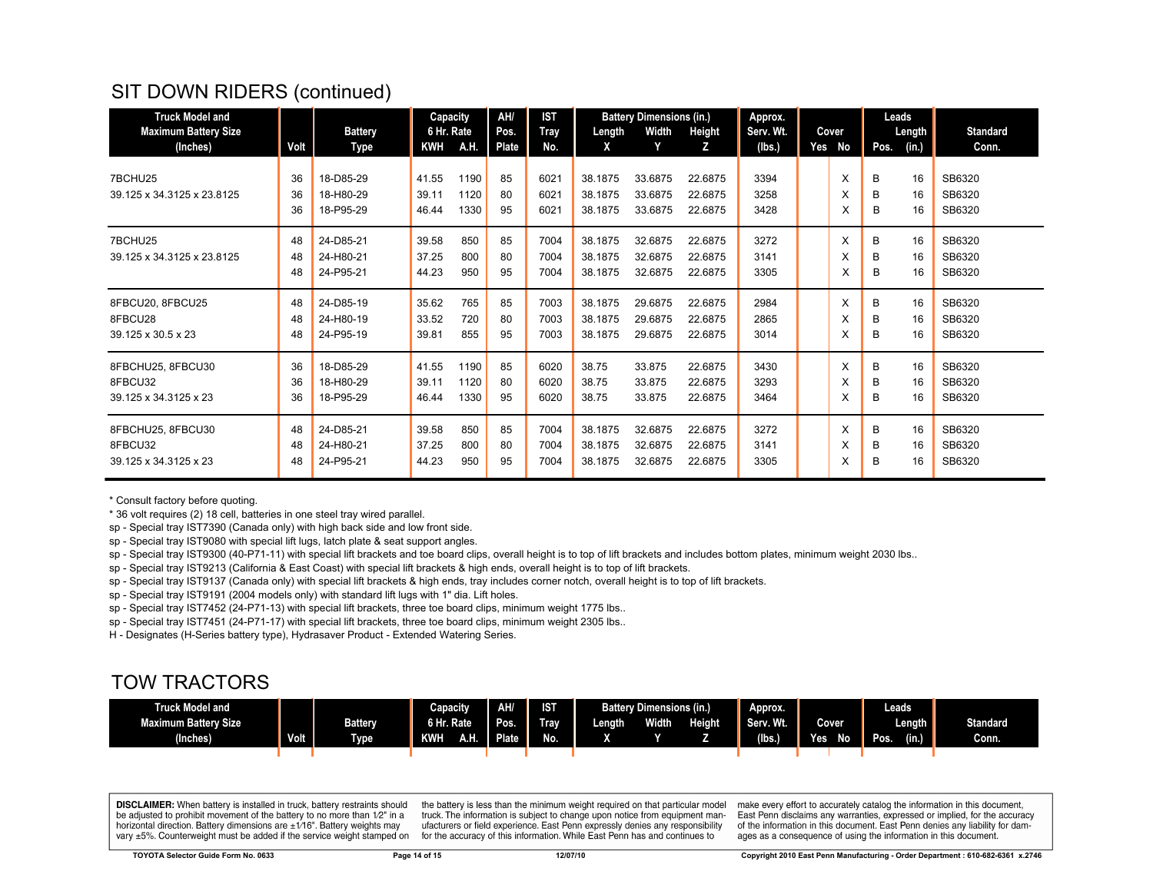| <b>Truck Model and</b>      |      |                | <b>Capacity</b> |      | AH/          | <b>IST</b>  |         | <b>Battery Dimensions (in.)</b> |         | Approx.   |     |       |      |        |                 |  |  |  |  |  | Leads |  |  |
|-----------------------------|------|----------------|-----------------|------|--------------|-------------|---------|---------------------------------|---------|-----------|-----|-------|------|--------|-----------------|--|--|--|--|--|-------|--|--|
| <b>Maximum Battery Size</b> |      | <b>Battery</b> | 6 Hr. Rate      |      | Pos.         | <b>Tray</b> | Length  | Width                           | Height  | Serv. Wt. |     | Cover |      | Length | <b>Standard</b> |  |  |  |  |  |       |  |  |
| (Inches)                    | Volt | Type           | <b>KWH</b>      | A.H. | <b>Plate</b> | No.         | X       | Y                               | z       | (lbs.)    | Yes | No    | Pos. | (in.)  | Conn.           |  |  |  |  |  |       |  |  |
|                             |      |                |                 |      |              |             |         |                                 |         |           |     |       |      |        |                 |  |  |  |  |  |       |  |  |
| 7BCHU25                     | 36   | 18-D85-29      | 41.55           | 1190 | 85           | 6021        | 38.1875 | 33.6875                         | 22.6875 | 3394      |     | X     | B    | 16     | SB6320          |  |  |  |  |  |       |  |  |
| 39.125 x 34.3125 x 23.8125  | 36   | 18-H80-29      | 39.11           | 1120 | 80           | 6021        | 38.1875 | 33.6875                         | 22.6875 | 3258      |     | X     | В    | 16     | SB6320          |  |  |  |  |  |       |  |  |
|                             | 36   | 18-P95-29      | 46.44           | 1330 | 95           | 6021        | 38.1875 | 33.6875                         | 22.6875 | 3428      |     | X     | в    | 16     | SB6320          |  |  |  |  |  |       |  |  |
| 7BCHU25                     | 48   | 24-D85-21      | 39.58           | 850  | 85           | 7004        | 38.1875 | 32.6875                         | 22.6875 | 3272      |     | X     | B    | 16     | SB6320          |  |  |  |  |  |       |  |  |
| 39.125 x 34.3125 x 23.8125  | 48   | 24-H80-21      | 37.25           | 800  | 80           | 7004        | 38.1875 | 32.6875                         | 22.6875 | 3141      |     | X     | B    | 16     | SB6320          |  |  |  |  |  |       |  |  |
|                             | 48   | 24-P95-21      | 44.23           | 950  | 95           | 7004        | 38.1875 | 32.6875                         | 22.6875 | 3305      |     | X     | в    | 16     | SB6320          |  |  |  |  |  |       |  |  |
| 8FBCU20, 8FBCU25            | 48   | 24-D85-19      | 35.62           | 765  | 85           | 7003        | 38.1875 | 29.6875                         | 22.6875 | 2984      |     | X     | B    | 16     | SB6320          |  |  |  |  |  |       |  |  |
| 8FBCU28                     | 48   | 24-H80-19      | 33.52           | 720  | 80           | 7003        | 38.1875 | 29.6875                         | 22.6875 | 2865      |     | X     | В    | 16     | SB6320          |  |  |  |  |  |       |  |  |
| 39.125 x 30.5 x 23          | 48   | 24-P95-19      | 39.81           | 855  | 95           | 7003        | 38.1875 | 29.6875                         | 22.6875 | 3014      |     | X     | В    | 16     | SB6320          |  |  |  |  |  |       |  |  |
| 8FBCHU25, 8FBCU30           | 36   | 18-D85-29      | 41.55           | 1190 | 85           | 6020        | 38.75   | 33.875                          | 22.6875 | 3430      |     | X     | B    | 16     | SB6320          |  |  |  |  |  |       |  |  |
| 8FBCU32                     | 36   | 18-H80-29      | 39.11           | 1120 | 80           | 6020        | 38.75   | 33.875                          | 22.6875 | 3293      |     | X     | В    | 16     | SB6320          |  |  |  |  |  |       |  |  |
| 39.125 x 34.3125 x 23       | 36   | 18-P95-29      | 46.44           | 1330 | 95           | 6020        | 38.75   | 33.875                          | 22.6875 | 3464      |     | X     | В    | 16     | SB6320          |  |  |  |  |  |       |  |  |
| 8FBCHU25, 8FBCU30           | 48   | 24-D85-21      | 39.58           | 850  | 85           | 7004        | 38.1875 | 32.6875                         | 22.6875 | 3272      |     | X     | B    | 16     | SB6320          |  |  |  |  |  |       |  |  |
| 8FBCU32                     | 48   | 24-H80-21      | 37.25           | 800  | 80           | 7004        | 38.1875 | 32.6875                         | 22.6875 | 3141      |     | X     | В    | 16     | SB6320          |  |  |  |  |  |       |  |  |
| 39.125 x 34.3125 x 23       | 48   | 24-P95-21      | 44.23           | 950  | 95           | 7004        | 38.1875 | 32.6875                         | 22.6875 | 3305      |     | X     | В    | 16     | SB6320          |  |  |  |  |  |       |  |  |

\* Consult factory before quoting.

\* 36 volt requires (2) 18 cell, batteries in one steel tray wired parallel.

sp - Special tray IST7390 (Canada only) with high back side and low front side.

sp - Special tray IST9080 with special lift lugs, latch plate & seat support angles.

sp - Special tray IST9300 (40-P71-11) with special lift brackets and toe board clips, overall height is to top of lift brackets and includes bottom plates, minimum weight 2030 lbs..

sp - Special tray IST9213 (California & East Coast) with special lift brackets & high ends, overall height is to top of lift brackets.

sp - Special tray IST9137 (Canada only) with special lift brackets & high ends, tray includes corner notch, overall height is to top of lift brackets.

sp - Special tray IST9191 (2004 models only) with standard lift lugs with 1" dia. Lift holes.

sp - Special tray IST7452 (24-P71-13) with special lift brackets, three toe board clips, minimum weight 1775 lbs..

sp - Special tray IST7451 (24-P71-17) with special lift brackets, three toe board clips, minimum weight 2305 lbs..

H - Designates (H-Series battery type), Hydrasaver Product - Extended Watering Series.

#### TOW TRACTORS

| <b>Truck Model and</b>                |                   |                | Capacity           | <b>AH</b> | IST       |               | <b>Battery Dimensions (in.)</b> |               | Approx.   |                   | Leads.                |                 |
|---------------------------------------|-------------------|----------------|--------------------|-----------|-----------|---------------|---------------------------------|---------------|-----------|-------------------|-----------------------|-----------------|
| <b>Maximum Battery Size</b><br>THE ST |                   | <b>Battery</b> | 6 Hr. Rate         | Pos.      | ļ<br>Trav | <b>Length</b> | Width                           | <b>Height</b> | Serv. Wt. | Cover             | Length $\blacksquare$ | <b>Standard</b> |
| (Inches)                              | Volt <sub>1</sub> | <b>Type</b>    | A.H.<br><b>KWH</b> | Plate     | No.       | ,,,           |                                 |               | (Ibs.)    | No.<br><b>Yes</b> | (in.)<br>Pos.         | Conn.           |
|                                       |                   |                |                    |           |           |               |                                 |               |           |                   |                       |                 |

**DISCLAIMER:** When battery is installed in truck, battery restraints should be adjusted to prohibit movement of the battery to no more than 1/2" in a horizontal direction. Battery dimensions are  $\pm 1/16$ ". Battery weights may vary ±5%. Counterweight must be added if the service weight stamped on

the battery is less than the minimum weight required on that particular model truck. The information is subject to change upon notice from equipment manufacturers or field experience. East Penn expressly denies any responsibility for the accuracy of this information. While East Penn has and continues to